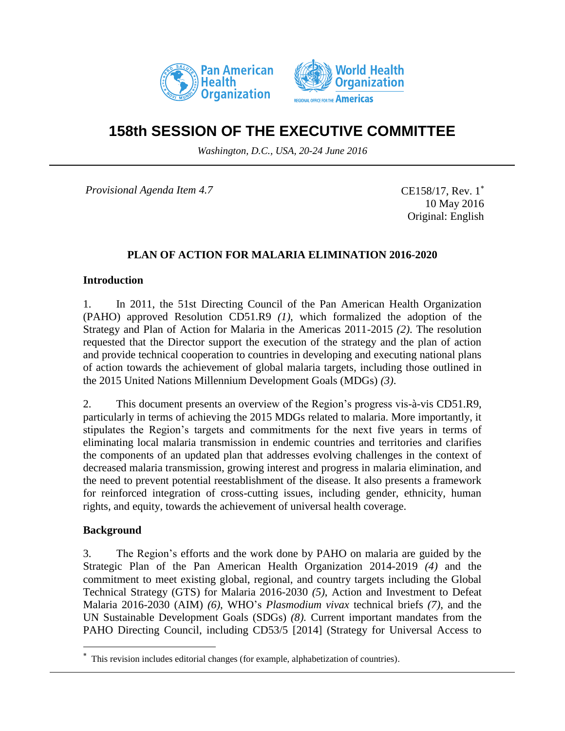



# **158th SESSION OF THE EXECUTIVE COMMITTEE**

*Washington, D.C., USA, 20-24 June 2016*

*Provisional Agenda Item 4.7* 

CE158/17, Rev. 1\* 10 May 2016 Original: English

## **PLAN OF ACTION FOR MALARIA ELIMINATION 2016-2020**

#### **Introduction**

1. In 2011, the 51st Directing Council of the Pan American Health Organization (PAHO) approved Resolution CD51.R9 *(1)*, which formalized the adoption of the Strategy and Plan of Action for Malaria in the Americas 2011-2015 *(2)*. The resolution requested that the Director support the execution of the strategy and the plan of action and provide technical cooperation to countries in developing and executing national plans of action towards the achievement of global malaria targets, including those outlined in the 2015 United Nations Millennium Development Goals (MDGs) *(3)*.

2. This document presents an overview of the Region's progress vis-à-vis CD51.R9, particularly in terms of achieving the 2015 MDGs related to malaria. More importantly, it stipulates the Region's targets and commitments for the next five years in terms of eliminating local malaria transmission in endemic countries and territories and clarifies the components of an updated plan that addresses evolving challenges in the context of decreased malaria transmission, growing interest and progress in malaria elimination, and the need to prevent potential reestablishment of the disease. It also presents a framework for reinforced integration of cross-cutting issues, including gender, ethnicity, human rights, and equity, towards the achievement of universal health coverage.

### **Background**

 $\overline{a}$ 

3. The Region's efforts and the work done by PAHO on malaria are guided by the Strategic Plan of the Pan American Health Organization 2014-2019 *(4)* and the commitment to meet existing global, regional, and country targets including the Global Technical Strategy (GTS) for Malaria 2016-2030 *(5)*, Action and Investment to Defeat Malaria 2016-2030 (AIM) *(6)*, WHO's *Plasmodium vivax* technical briefs *(7)*, and the UN Sustainable Development Goals (SDGs) *(8).* Current important mandates from the PAHO Directing Council, including CD53/5 [2014] (Strategy for Universal Access to

This revision includes editorial changes (for example, alphabetization of countries).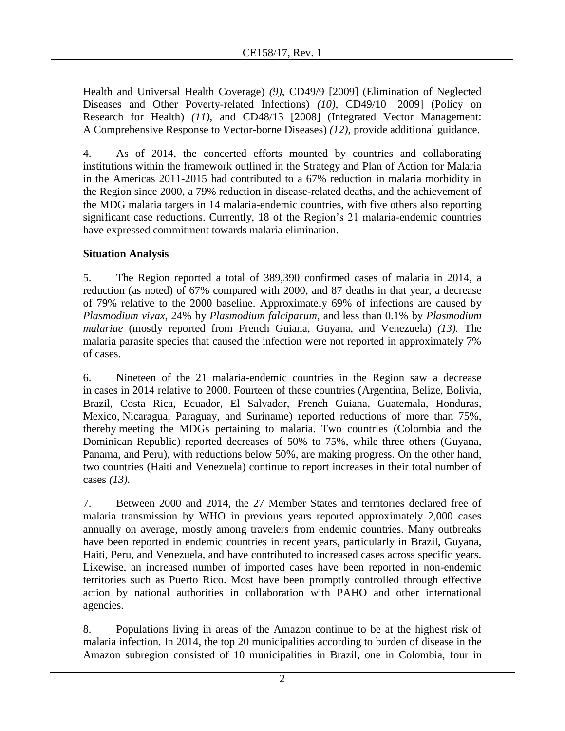Health and Universal Health Coverage) *(9)*, CD49/9 [2009] (Elimination of Neglected Diseases and Other Poverty-related Infections) *(10)*, CD49/10 [2009] (Policy on Research for Health) *(11)*, and CD48/13 [2008] (Integrated Vector Management: A Comprehensive Response to Vector-borne Diseases) *(12)*, provide additional guidance.

4. As of 2014, the concerted efforts mounted by countries and collaborating institutions within the framework outlined in the Strategy and Plan of Action for Malaria in the Americas 2011-2015 had contributed to a 67% reduction in malaria morbidity in the Region since 2000, a 79% reduction in disease-related deaths, and the achievement of the MDG malaria targets in 14 malaria-endemic countries, with five others also reporting significant case reductions. Currently, 18 of the Region's 21 malaria-endemic countries have expressed commitment towards malaria elimination.

# **Situation Analysis**

5. The Region reported a total of 389,390 confirmed cases of malaria in 2014, a reduction (as noted) of 67% compared with 2000, and 87 deaths in that year, a decrease of 79% relative to the 2000 baseline. Approximately 69% of infections are caused by *Plasmodium vivax*, 24% by *Plasmodium falciparum*, and less than 0.1% by *Plasmodium malariae* (mostly reported from French Guiana, Guyana, and Venezuela) *(13).* The malaria parasite species that caused the infection were not reported in approximately 7% of cases.

6. Nineteen of the 21 malaria-endemic countries in the Region saw a decrease in cases in 2014 relative to 2000. Fourteen of these countries (Argentina, Belize, Bolivia, Brazil, Costa Rica, Ecuador, El Salvador, French Guiana, Guatemala, Honduras, Mexico, Nicaragua, Paraguay, and Suriname) reported reductions of more than 75%, thereby meeting the MDGs pertaining to malaria. Two countries (Colombia and the Dominican Republic) reported decreases of 50% to 75%, while three others (Guyana, Panama, and Peru), with reductions below 50%, are making progress. On the other hand, two countries (Haiti and Venezuela) continue to report increases in their total number of cases *(13).*

7. Between 2000 and 2014, the 27 Member States and territories declared free of malaria transmission by WHO in previous years reported approximately 2,000 cases annually on average, mostly among travelers from endemic countries. Many outbreaks have been reported in endemic countries in recent years, particularly in Brazil, Guyana, Haiti, Peru, and Venezuela, and have contributed to increased cases across specific years. Likewise, an increased number of imported cases have been reported in non-endemic territories such as Puerto Rico. Most have been promptly controlled through effective action by national authorities in collaboration with PAHO and other international agencies.

8. Populations living in areas of the Amazon continue to be at the highest risk of malaria infection. In 2014, the top 20 municipalities according to burden of disease in the Amazon subregion consisted of 10 municipalities in Brazil, one in Colombia, four in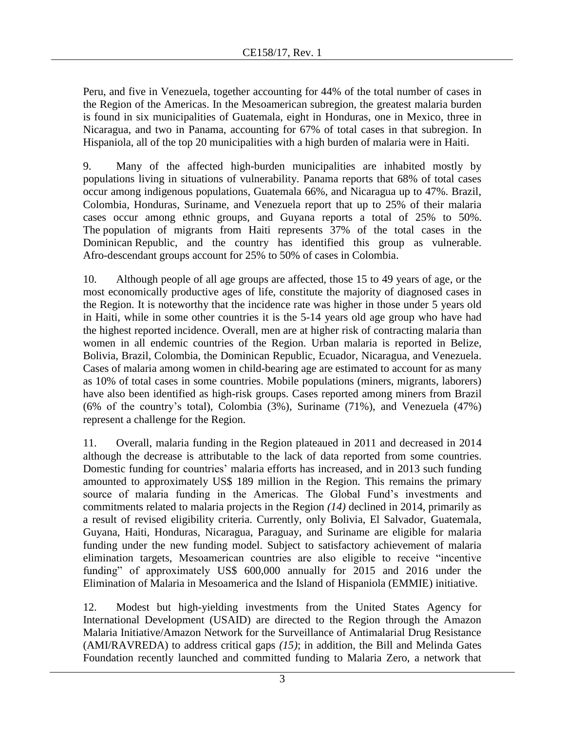Peru, and five in Venezuela, together accounting for 44% of the total number of cases in the Region of the Americas. In the Mesoamerican subregion, the greatest malaria burden is found in six municipalities of Guatemala, eight in Honduras, one in Mexico, three in Nicaragua, and two in Panama, accounting for 67% of total cases in that subregion. In Hispaniola, all of the top 20 municipalities with a high burden of malaria were in Haiti.

9. Many of the affected high-burden municipalities are inhabited mostly by populations living in situations of vulnerability. Panama reports that 68% of total cases occur among indigenous populations, Guatemala 66%, and Nicaragua up to 47%. Brazil, Colombia, Honduras, Suriname, and Venezuela report that up to 25% of their malaria cases occur among ethnic groups, and Guyana reports a total of 25% to 50%. The population of migrants from Haiti represents 37% of the total cases in the Dominican Republic, and the country has identified this group as vulnerable. Afro-descendant groups account for 25% to 50% of cases in Colombia.

10. Although people of all age groups are affected, those 15 to 49 years of age, or the most economically productive ages of life, constitute the majority of diagnosed cases in the Region. It is noteworthy that the incidence rate was higher in those under 5 years old in Haiti, while in some other countries it is the 5-14 years old age group who have had the highest reported incidence. Overall, men are at higher risk of contracting malaria than women in all endemic countries of the Region. Urban malaria is reported in Belize, Bolivia, Brazil, Colombia, the Dominican Republic, Ecuador, Nicaragua, and Venezuela. Cases of malaria among women in child-bearing age are estimated to account for as many as 10% of total cases in some countries. Mobile populations (miners, migrants, laborers) have also been identified as high-risk groups. Cases reported among miners from Brazil (6% of the country's total), Colombia (3%), Suriname (71%), and Venezuela (47%) represent a challenge for the Region.

11. Overall, malaria funding in the Region plateaued in 2011 and decreased in 2014 although the decrease is attributable to the lack of data reported from some countries. Domestic funding for countries' malaria efforts has increased, and in 2013 such funding amounted to approximately US\$ 189 million in the Region. This remains the primary source of malaria funding in the Americas. The Global Fund's investments and commitments related to malaria projects in the Region *(14)* declined in 2014, primarily as a result of revised eligibility criteria. Currently, only Bolivia, El Salvador, Guatemala, Guyana, Haiti, Honduras, Nicaragua, Paraguay, and Suriname are eligible for malaria funding under the new funding model. Subject to satisfactory achievement of malaria elimination targets, Mesoamerican countries are also eligible to receive "incentive funding" of approximately US\$ 600,000 annually for 2015 and 2016 under the Elimination of Malaria in Mesoamerica and the Island of Hispaniola (EMMIE) initiative.

12. Modest but high-yielding investments from the United States Agency for International Development (USAID) are directed to the Region through the Amazon Malaria Initiative/Amazon Network for the Surveillance of Antimalarial Drug Resistance (AMI/RAVREDA) to address critical gaps *(15)*; in addition, the Bill and Melinda Gates Foundation recently launched and committed funding to Malaria Zero, a network that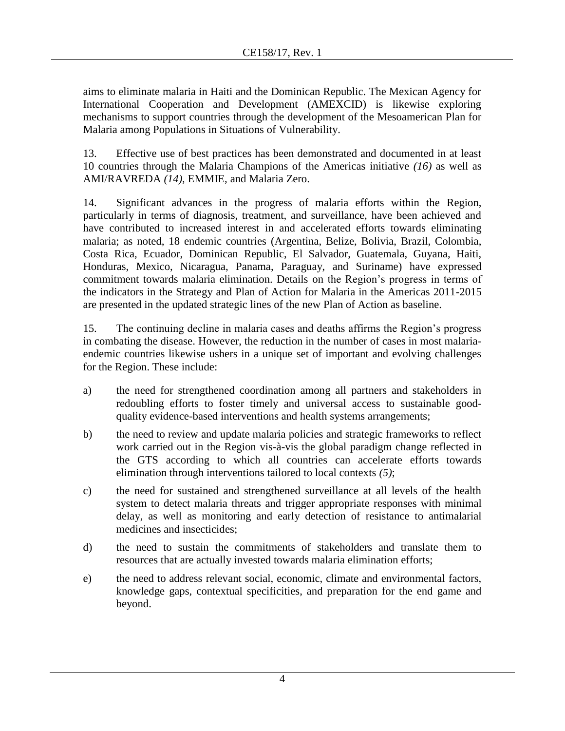aims to eliminate malaria in Haiti and the Dominican Republic. The Mexican Agency for International Cooperation and Development (AMEXCID) is likewise exploring mechanisms to support countries through the development of the Mesoamerican Plan for Malaria among Populations in Situations of Vulnerability.

13. Effective use of best practices has been demonstrated and documented in at least 10 countries through the Malaria Champions of the Americas initiative *(16)* as well as AMI/RAVREDA *(14)*, EMMIE, and Malaria Zero.

14. Significant advances in the progress of malaria efforts within the Region, particularly in terms of diagnosis, treatment, and surveillance, have been achieved and have contributed to increased interest in and accelerated efforts towards eliminating malaria; as noted, 18 endemic countries (Argentina, Belize, Bolivia, Brazil, Colombia, Costa Rica, Ecuador, Dominican Republic, El Salvador, Guatemala, Guyana, Haiti, Honduras, Mexico, Nicaragua, Panama, Paraguay, and Suriname) have expressed commitment towards malaria elimination. Details on the Region's progress in terms of the indicators in the Strategy and Plan of Action for Malaria in the Americas 2011-2015 are presented in the updated strategic lines of the new Plan of Action as baseline.

15. The continuing decline in malaria cases and deaths affirms the Region's progress in combating the disease. However, the reduction in the number of cases in most malariaendemic countries likewise ushers in a unique set of important and evolving challenges for the Region. These include:

- a) the need for strengthened coordination among all partners and stakeholders in redoubling efforts to foster timely and universal access to sustainable goodquality evidence-based interventions and health systems arrangements;
- b) the need to review and update malaria policies and strategic frameworks to reflect work carried out in the Region vis-à-vis the global paradigm change reflected in the GTS according to which all countries can accelerate efforts towards elimination through interventions tailored to local contexts *(5)*;
- c) the need for sustained and strengthened surveillance at all levels of the health system to detect malaria threats and trigger appropriate responses with minimal delay, as well as monitoring and early detection of resistance to antimalarial medicines and insecticides;
- d) the need to sustain the commitments of stakeholders and translate them to resources that are actually invested towards malaria elimination efforts;
- e) the need to address relevant social, economic, climate and environmental factors, knowledge gaps, contextual specificities, and preparation for the end game and beyond.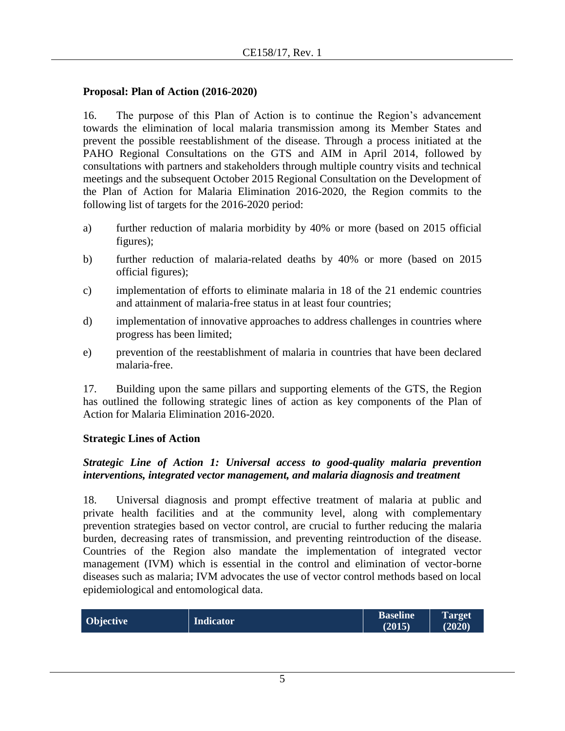#### **Proposal: Plan of Action (2016-2020)**

16. The purpose of this Plan of Action is to continue the Region's advancement towards the elimination of local malaria transmission among its Member States and prevent the possible reestablishment of the disease. Through a process initiated at the PAHO Regional Consultations on the GTS and AIM in April 2014, followed by consultations with partners and stakeholders through multiple country visits and technical meetings and the subsequent October 2015 Regional Consultation on the Development of the Plan of Action for Malaria Elimination 2016-2020, the Region commits to the following list of targets for the 2016-2020 period:

- a) further reduction of malaria morbidity by 40% or more (based on 2015 official figures);
- b) further reduction of malaria-related deaths by 40% or more (based on 2015 official figures);
- c) implementation of efforts to eliminate malaria in 18 of the 21 endemic countries and attainment of malaria-free status in at least four countries;
- d) implementation of innovative approaches to address challenges in countries where progress has been limited;
- e) prevention of the reestablishment of malaria in countries that have been declared malaria-free.

17. Building upon the same pillars and supporting elements of the GTS, the Region has outlined the following strategic lines of action as key components of the Plan of Action for Malaria Elimination 2016-2020.

#### **Strategic Lines of Action**

### *Strategic Line of Action 1: Universal access to good-quality malaria prevention interventions, integrated vector management, and malaria diagnosis and treatment*

18. Universal diagnosis and prompt effective treatment of malaria at public and private health facilities and at the community level, along with complementary prevention strategies based on vector control, are crucial to further reducing the malaria burden, decreasing rates of transmission, and preventing reintroduction of the disease. Countries of the Region also mandate the implementation of integrated vector management (IVM) which is essential in the control and elimination of vector-borne diseases such as malaria; IVM advocates the use of vector control methods based on local epidemiological and entomological data.

| Objective | <b>Indicator</b> | <b>Baseline</b><br>(2015) | Target<br>(2020) |
|-----------|------------------|---------------------------|------------------|
|           |                  |                           |                  |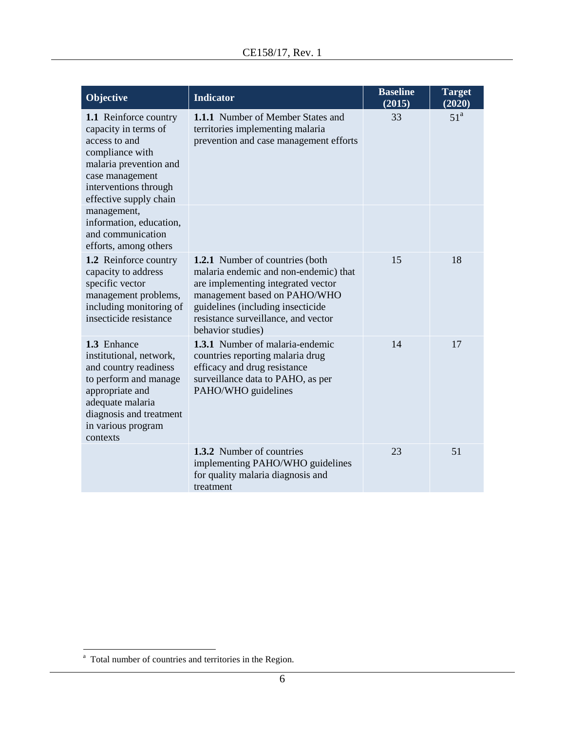| Objective                                                                                                                                                                                    | <b>Indicator</b>                                                                                                                                                                                                                                       | <b>Baseline</b><br>(2015) | <b>Target</b><br>(2020) |
|----------------------------------------------------------------------------------------------------------------------------------------------------------------------------------------------|--------------------------------------------------------------------------------------------------------------------------------------------------------------------------------------------------------------------------------------------------------|---------------------------|-------------------------|
| 1.1 Reinforce country<br>capacity in terms of<br>access to and<br>compliance with<br>malaria prevention and<br>case management<br>interventions through<br>effective supply chain            | <b>1.1.1</b> Number of Member States and<br>territories implementing malaria<br>prevention and case management efforts                                                                                                                                 | 33                        | 51 <sup>a</sup>         |
| management,<br>information, education,<br>and communication<br>efforts, among others                                                                                                         |                                                                                                                                                                                                                                                        |                           |                         |
| 1.2 Reinforce country<br>capacity to address<br>specific vector<br>management problems,<br>including monitoring of<br>insecticide resistance                                                 | <b>1.2.1</b> Number of countries (both<br>malaria endemic and non-endemic) that<br>are implementing integrated vector<br>management based on PAHO/WHO<br>guidelines (including insecticide<br>resistance surveillance, and vector<br>behavior studies) | 15                        | 18                      |
| 1.3 Enhance<br>institutional, network,<br>and country readiness<br>to perform and manage<br>appropriate and<br>adequate malaria<br>diagnosis and treatment<br>in various program<br>contexts | 1.3.1 Number of malaria-endemic<br>countries reporting malaria drug<br>efficacy and drug resistance<br>surveillance data to PAHO, as per<br>PAHO/WHO guidelines                                                                                        | 14                        | 17                      |
|                                                                                                                                                                                              | 1.3.2 Number of countries<br>implementing PAHO/WHO guidelines<br>for quality malaria diagnosis and<br>treatment                                                                                                                                        | 23                        | 51                      |

l

<sup>&</sup>lt;sup>a</sup> Total number of countries and territories in the Region.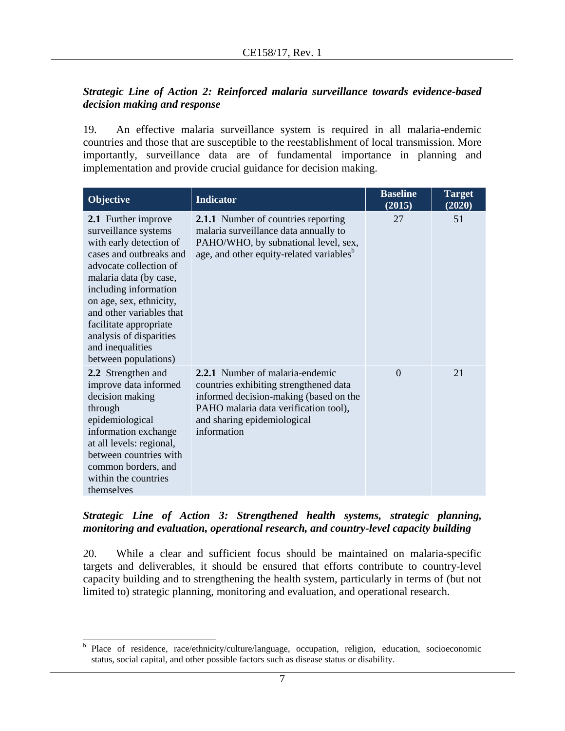## *Strategic Line of Action 2: Reinforced malaria surveillance towards evidence-based decision making and response*

19. An effective malaria surveillance system is required in all malaria-endemic countries and those that are susceptible to the reestablishment of local transmission. More importantly, surveillance data are of fundamental importance in planning and implementation and provide crucial guidance for decision making.

| Objective                                                                                                                                                                                                                                                                                                                              | <b>Indicator</b>                                                                                                                                                                                                  | <b>Baseline</b><br>(2015) | <b>Target</b><br>(2020) |
|----------------------------------------------------------------------------------------------------------------------------------------------------------------------------------------------------------------------------------------------------------------------------------------------------------------------------------------|-------------------------------------------------------------------------------------------------------------------------------------------------------------------------------------------------------------------|---------------------------|-------------------------|
| 2.1 Further improve<br>surveillance systems<br>with early detection of<br>cases and outbreaks and<br>advocate collection of<br>malaria data (by case,<br>including information<br>on age, sex, ethnicity,<br>and other variables that<br>facilitate appropriate<br>analysis of disparities<br>and inequalities<br>between populations) | <b>2.1.1</b> Number of countries reporting<br>malaria surveillance data annually to<br>PAHO/WHO, by subnational level, sex,<br>age, and other equity-related variables <sup>b</sup>                               | 27                        | 51                      |
| 2.2 Strengthen and<br>improve data informed<br>decision making<br>through<br>epidemiological<br>information exchange<br>at all levels: regional,<br>between countries with<br>common borders, and<br>within the countries<br>themselves                                                                                                | <b>2.2.1</b> Number of malaria-endemic<br>countries exhibiting strengthened data<br>informed decision-making (based on the<br>PAHO malaria data verification tool),<br>and sharing epidemiological<br>information | $\Omega$                  | 21                      |

### *Strategic Line of Action 3: Strengthened health systems, strategic planning, monitoring and evaluation, operational research, and country-level capacity building*

20. While a clear and sufficient focus should be maintained on malaria-specific targets and deliverables, it should be ensured that efforts contribute to country-level capacity building and to strengthening the health system, particularly in terms of (but not limited to) strategic planning, monitoring and evaluation, and operational research.

<sup>&</sup>lt;sup>b</sup> Place of residence, race/ethnicity/culture/language, occupation, religion, education, socioeconomic status, social capital, and other possible factors such as disease status or disability.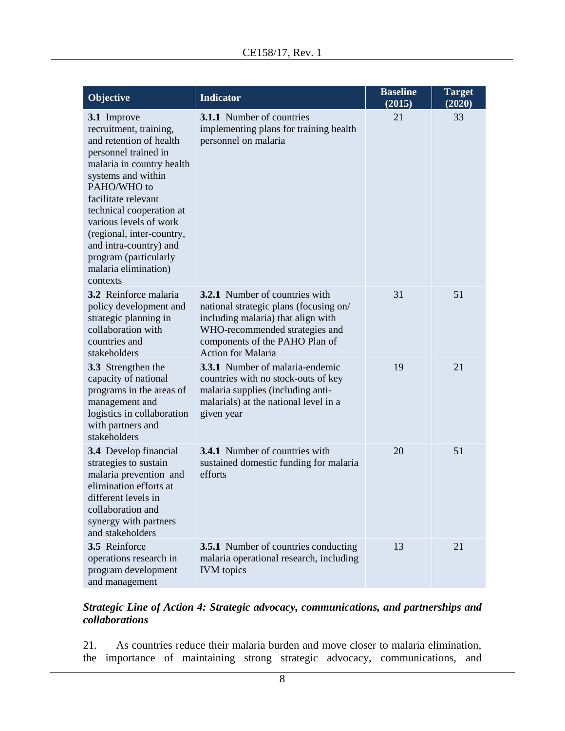| Objective                                                                                                                                                                                                                                                                                                                                                   | <b>Indicator</b>                                                                                                                                                                                                       | <b>Baseline</b><br>(2015) | <b>Target</b><br>(2020) |
|-------------------------------------------------------------------------------------------------------------------------------------------------------------------------------------------------------------------------------------------------------------------------------------------------------------------------------------------------------------|------------------------------------------------------------------------------------------------------------------------------------------------------------------------------------------------------------------------|---------------------------|-------------------------|
| 3.1 Improve<br>recruitment, training,<br>and retention of health<br>personnel trained in<br>malaria in country health<br>systems and within<br>PAHO/WHO to<br>facilitate relevant<br>technical cooperation at<br>various levels of work<br>(regional, inter-country,<br>and intra-country) and<br>program (particularly<br>malaria elimination)<br>contexts | <b>3.1.1</b> Number of countries<br>implementing plans for training health<br>personnel on malaria                                                                                                                     | 21                        | 33                      |
| 3.2 Reinforce malaria<br>policy development and<br>strategic planning in<br>collaboration with<br>countries and<br>stakeholders                                                                                                                                                                                                                             | <b>3.2.1</b> Number of countries with<br>national strategic plans (focusing on/<br>including malaria) that align with<br>WHO-recommended strategies and<br>components of the PAHO Plan of<br><b>Action for Malaria</b> | 31                        | 51                      |
| 3.3 Strengthen the<br>capacity of national<br>programs in the areas of<br>management and<br>logistics in collaboration<br>with partners and<br>stakeholders                                                                                                                                                                                                 | <b>3.3.1</b> Number of malaria-endemic<br>countries with no stock-outs of key<br>malaria supplies (including anti-<br>malarials) at the national level in a<br>given year                                              | 19                        | 21                      |
| 3.4 Develop financial<br>strategies to sustain<br>malaria prevention and<br>elimination efforts at<br>different levels in<br>collaboration and<br>synergy with partners<br>and stakeholders                                                                                                                                                                 | <b>3.4.1</b> Number of countries with<br>sustained domestic funding for malaria<br>efforts                                                                                                                             | 20                        | 51                      |
| 3.5 Reinforce<br>operations research in<br>program development<br>and management                                                                                                                                                                                                                                                                            | <b>3.5.1</b> Number of countries conducting<br>malaria operational research, including<br><b>IVM</b> topics                                                                                                            | 13                        | 21                      |

### *Strategic Line of Action 4: Strategic advocacy, communications, and partnerships and collaborations*

21. As countries reduce their malaria burden and move closer to malaria elimination, the importance of maintaining strong strategic advocacy, communications, and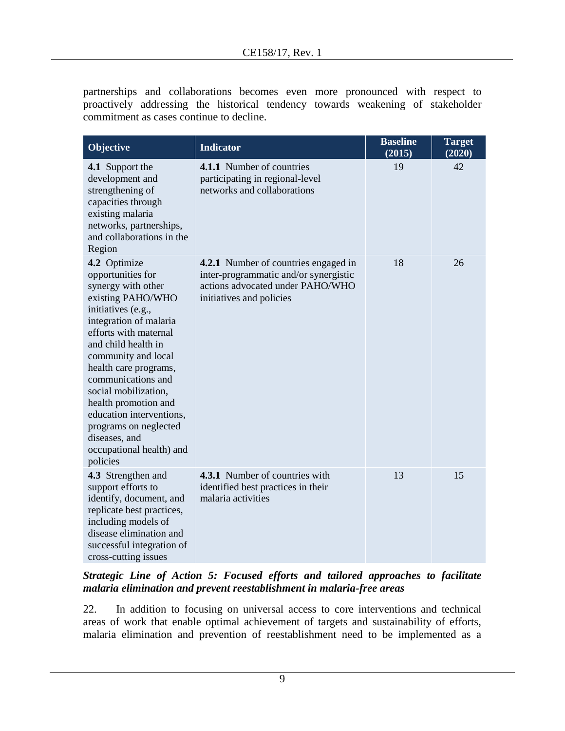partnerships and collaborations becomes even more pronounced with respect to proactively addressing the historical tendency towards weakening of stakeholder commitment as cases continue to decline.

| <b>Objective</b>                                                                                                                                                                                                                                                                                                                                                                                                 | <b>Indicator</b>                                                                                                                                     | <b>Baseline</b><br>(2015) | <b>Target</b><br>(2020) |
|------------------------------------------------------------------------------------------------------------------------------------------------------------------------------------------------------------------------------------------------------------------------------------------------------------------------------------------------------------------------------------------------------------------|------------------------------------------------------------------------------------------------------------------------------------------------------|---------------------------|-------------------------|
| 4.1 Support the<br>development and<br>strengthening of<br>capacities through<br>existing malaria<br>networks, partnerships,<br>and collaborations in the<br>Region                                                                                                                                                                                                                                               | 4.1.1 Number of countries<br>participating in regional-level<br>networks and collaborations                                                          | 19                        | 42                      |
| 4.2 Optimize<br>opportunities for<br>synergy with other<br>existing PAHO/WHO<br>initiatives (e.g.,<br>integration of malaria<br>efforts with maternal<br>and child health in<br>community and local<br>health care programs,<br>communications and<br>social mobilization,<br>health promotion and<br>education interventions,<br>programs on neglected<br>diseases, and<br>occupational health) and<br>policies | <b>4.2.1</b> Number of countries engaged in<br>inter-programmatic and/or synergistic<br>actions advocated under PAHO/WHO<br>initiatives and policies | 18                        | 26                      |
| 4.3 Strengthen and<br>support efforts to<br>identify, document, and<br>replicate best practices,<br>including models of<br>disease elimination and<br>successful integration of<br>cross-cutting issues                                                                                                                                                                                                          | 4.3.1 Number of countries with<br>identified best practices in their<br>malaria activities                                                           | 13                        | 15                      |

## *Strategic Line of Action 5: Focused efforts and tailored approaches to facilitate malaria elimination and prevent reestablishment in malaria-free areas*

22. In addition to focusing on universal access to core interventions and technical areas of work that enable optimal achievement of targets and sustainability of efforts, malaria elimination and prevention of reestablishment need to be implemented as a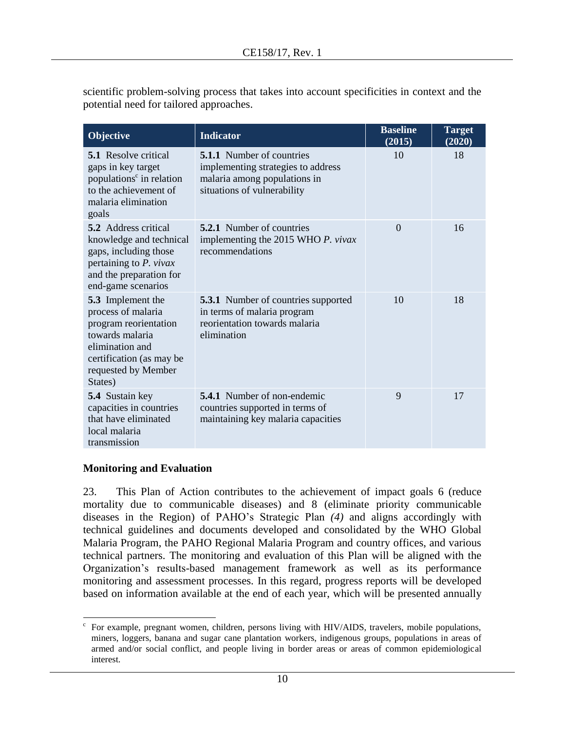| scientific problem-solving process that takes into account specificities in context and the |  |  |
|---------------------------------------------------------------------------------------------|--|--|
| potential need for tailored approaches.                                                     |  |  |

| Objective                                                                                                                                                                   | <b>Indicator</b>                                                                                                                      | <b>Baseline</b><br>(2015) | <b>Target</b><br>(2020) |
|-----------------------------------------------------------------------------------------------------------------------------------------------------------------------------|---------------------------------------------------------------------------------------------------------------------------------------|---------------------------|-------------------------|
| <b>5.1</b> Resolve critical<br>gaps in key target<br>populations <sup>c</sup> in relation<br>to the achievement of<br>malaria elimination<br>goals                          | <b>5.1.1</b> Number of countries<br>implementing strategies to address<br>malaria among populations in<br>situations of vulnerability | 10                        | 18                      |
| <b>5.2</b> Address critical<br>knowledge and technical<br>gaps, including those<br>pertaining to P. vivax<br>and the preparation for<br>end-game scenarios                  | <b>5.2.1</b> Number of countries<br>implementing the 2015 WHO P. vivax<br>recommendations                                             | $\Omega$                  | 16                      |
| <b>5.3</b> Implement the<br>process of malaria<br>program reorientation<br>towards malaria<br>elimination and<br>certification (as may be<br>requested by Member<br>States) | <b>5.3.1</b> Number of countries supported<br>in terms of malaria program<br>reorientation towards malaria<br>elimination             | 10                        | 18                      |
| 5.4 Sustain key<br>capacities in countries<br>that have eliminated<br>local malaria<br>transmission                                                                         | <b>5.4.1</b> Number of non-endemic<br>countries supported in terms of<br>maintaining key malaria capacities                           | 9                         | 17                      |

### **Monitoring and Evaluation**

23. This Plan of Action contributes to the achievement of impact goals 6 (reduce mortality due to communicable diseases) and 8 (eliminate priority communicable diseases in the Region) of PAHO's Strategic Plan *(4)* and aligns accordingly with technical guidelines and documents developed and consolidated by the WHO Global Malaria Program, the PAHO Regional Malaria Program and country offices, and various technical partners. The monitoring and evaluation of this Plan will be aligned with the Organization's results-based management framework as well as its performance monitoring and assessment processes. In this regard, progress reports will be developed based on information available at the end of each year, which will be presented annually

 $\overline{\phantom{a}}$ c For example, pregnant women, children, persons living with HIV/AIDS, travelers, mobile populations, miners, loggers, banana and sugar cane plantation workers, indigenous groups, populations in areas of armed and/or social conflict, and people living in border areas or areas of common epidemiological interest.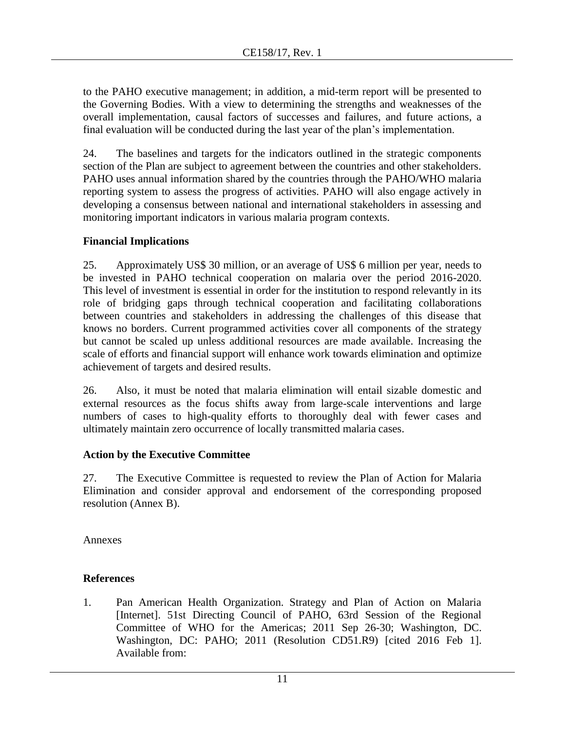to the PAHO executive management; in addition, a mid-term report will be presented to the Governing Bodies. With a view to determining the strengths and weaknesses of the overall implementation, causal factors of successes and failures, and future actions, a final evaluation will be conducted during the last year of the plan's implementation.

24. The baselines and targets for the indicators outlined in the strategic components section of the Plan are subject to agreement between the countries and other stakeholders. PAHO uses annual information shared by the countries through the PAHO/WHO malaria reporting system to assess the progress of activities. PAHO will also engage actively in developing a consensus between national and international stakeholders in assessing and monitoring important indicators in various malaria program contexts.

# **Financial Implications**

25. Approximately US\$ 30 million, or an average of US\$ 6 million per year, needs to be invested in PAHO technical cooperation on malaria over the period 2016-2020. This level of investment is essential in order for the institution to respond relevantly in its role of bridging gaps through technical cooperation and facilitating collaborations between countries and stakeholders in addressing the challenges of this disease that knows no borders. Current programmed activities cover all components of the strategy but cannot be scaled up unless additional resources are made available. Increasing the scale of efforts and financial support will enhance work towards elimination and optimize achievement of targets and desired results.

26. Also, it must be noted that malaria elimination will entail sizable domestic and external resources as the focus shifts away from large-scale interventions and large numbers of cases to high-quality efforts to thoroughly deal with fewer cases and ultimately maintain zero occurrence of locally transmitted malaria cases.

# **Action by the Executive Committee**

27. The Executive Committee is requested to review the Plan of Action for Malaria Elimination and consider approval and endorsement of the corresponding proposed resolution (Annex B).

Annexes

# **References**

1. Pan American Health Organization. Strategy and Plan of Action on Malaria [Internet]. 51st Directing Council of PAHO, 63rd Session of the Regional Committee of WHO for the Americas; 2011 Sep 26-30; Washington, DC. Washington, DC: PAHO; 2011 (Resolution CD51.R9) [cited 2016 Feb 1]. Available from: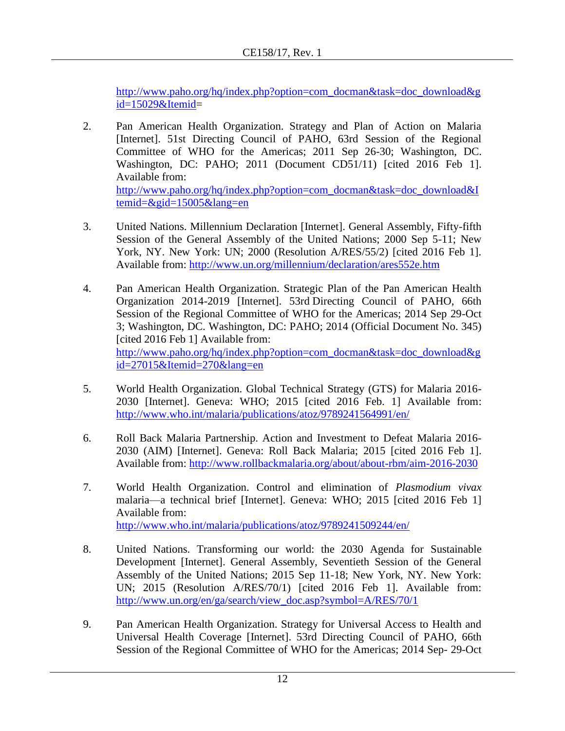[http://www.paho.org/hq/index.php?option=com\\_docman&task=doc\\_download&g](http://www.paho.org/hq/index.php?option=com_docman&task=doc_download&gid=15029&Itemid) [id=15029&Itemid=](http://www.paho.org/hq/index.php?option=com_docman&task=doc_download&gid=15029&Itemid)

2. Pan American Health Organization. Strategy and Plan of Action on Malaria [Internet]. 51st Directing Council of PAHO, 63rd Session of the Regional Committee of WHO for the Americas; 2011 Sep 26-30; Washington, DC. Washington, DC: PAHO; 2011 (Document CD51/11) [cited 2016 Feb 1]. Available from: [http://www.paho.org/hq/index.php?option=com\\_docman&task=doc\\_download&I](http://www.paho.org/hq/index.php?option=com_docman&task=doc_download&Itemid=&gid=15005&lang=en)

temid= $\&$ gid=15005 $\&$ lang=en

- 3. United Nations. Millennium Declaration [Internet]. General Assembly, Fifty-fifth Session of the General Assembly of the United Nations; 2000 Sep 5-11; New York, NY. New York: UN; 2000 (Resolution A/RES/55/2) [cited 2016 Feb 1]. Available from: <http://www.un.org/millennium/declaration/ares552e.htm>
- 4. Pan American Health Organization. Strategic Plan of the Pan American Health Organization 2014-2019 [Internet]. 53rd Directing Council of PAHO, 66th Session of the Regional Committee of WHO for the Americas; 2014 Sep 29-Oct 3; Washington, DC. Washington, DC: PAHO; 2014 (Official Document No. 345) [cited 2016 Feb 1] Available from: [http://www.paho.org/hq/index.php?option=com\\_docman&task=doc\\_download&g](http://www.paho.org/hq/index.php?option=com_docman&task=doc_download&gid=27015&Itemid=270&lang=en) [id=27015&Itemid=270&lang=en](http://www.paho.org/hq/index.php?option=com_docman&task=doc_download&gid=27015&Itemid=270&lang=en)
- 5. World Health Organization. Global Technical Strategy (GTS) for Malaria 2016- 2030 [Internet]. Geneva: WHO; 2015 [cited 2016 Feb. 1] Available from: <http://www.who.int/malaria/publications/atoz/9789241564991/en/>
- 6. Roll Back Malaria Partnership. Action and Investment to Defeat Malaria 2016- 2030 (AIM) [Internet]. Geneva: Roll Back Malaria; 2015 [cited 2016 Feb 1]. Available from:<http://www.rollbackmalaria.org/about/about-rbm/aim-2016-2030>
- 7. World Health Organization. Control and elimination of *Plasmodium vivax* malaria—a technical brief [Internet]. Geneva: WHO; 2015 [cited 2016 Feb 1] Available from: <http://www.who.int/malaria/publications/atoz/9789241509244/en/>
- 8. United Nations. Transforming our world: the 2030 Agenda for Sustainable Development [Internet]. General Assembly, Seventieth Session of the General Assembly of the United Nations; 2015 Sep 11-18; New York, NY. New York: UN; 2015 (Resolution A/RES/70/1) [cited 2016 Feb 1]. Available from: [http://www.un.org/en/ga/search/view\\_doc.asp?symbol=A/RES/70/1](http://www.un.org/en/ga/search/view_doc.asp?symbol=A/RES/70/1)
- 9. Pan American Health Organization. Strategy for Universal Access to Health and Universal Health Coverage [Internet]. 53rd Directing Council of PAHO, 66th Session of the Regional Committee of WHO for the Americas; 2014 Sep- 29-Oct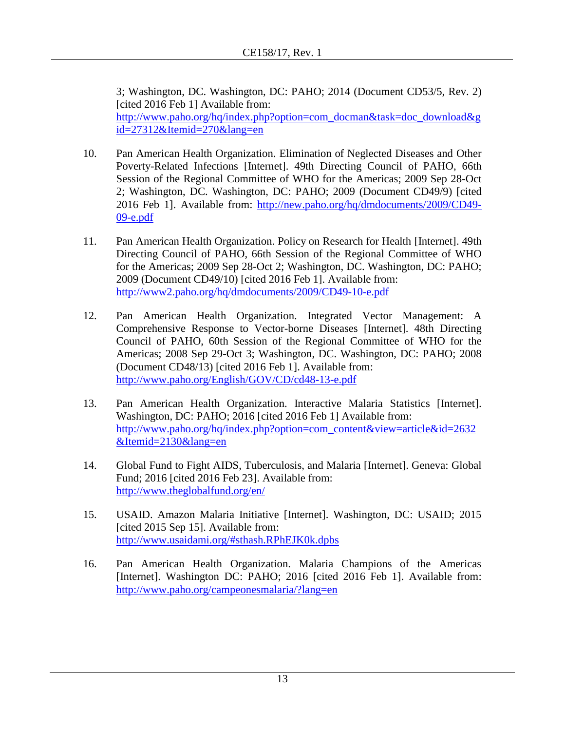3; Washington, DC. Washington, DC: PAHO; 2014 (Document CD53/5, Rev. 2) [cited 2016 Feb 1] Available from: [http://www.paho.org/hq/index.php?option=com\\_docman&task=doc\\_download&g](http://www.paho.org/hq/index.php?option=com_docman&task=doc_download&gid=27312&Itemid=270&lang=en) [id=27312&Itemid=270&lang=en](http://www.paho.org/hq/index.php?option=com_docman&task=doc_download&gid=27312&Itemid=270&lang=en)

- 10. Pan American Health Organization. [Elimination of Neglected Diseases and Other](http://new.paho.org/hq/index.php?option=com_docman&task=doc_download&gid=2647&Itemid=)  [Poverty-Related Infections](http://new.paho.org/hq/index.php?option=com_docman&task=doc_download&gid=2647&Itemid=) [Internet]. 49th Directing Council of PAHO, 66th Session of the Regional Committee of WHO for the Americas; 2009 Sep 28-Oct 2; Washington, DC. Washington, DC: PAHO; 2009 (Document CD49/9) [cited 2016 Feb 1]. Available from: [http://new.paho.org/hq/dmdocuments/2009/CD49-](http://new.paho.org/hq/dmdocuments/2009/CD49-09-e.pdf) [09-e.pdf](http://new.paho.org/hq/dmdocuments/2009/CD49-09-e.pdf)
- 11. Pan American Health Organization. Policy on Research for Health [Internet]. 49th Directing Council of PAHO, 66th Session of the Regional Committee of WHO for the Americas; 2009 Sep 28-Oct 2; Washington, DC. Washington, DC: PAHO; 2009 (Document CD49/10) [cited 2016 Feb 1]. Available from: <http://www2.paho.org/hq/dmdocuments/2009/CD49-10-e.pdf>
- 12. Pan American Health Organization. [Integrated Vector Management: A](http://www.paho.org/English/GOV/CD/cd48-13-e.pdf)  [Comprehensive Response to Vector-borne Diseases](http://www.paho.org/English/GOV/CD/cd48-13-e.pdf) [Internet]. 48th Directing Council of PAHO, 60th Session of the Regional Committee of WHO for the Americas; 2008 Sep 29-Oct 3; Washington, DC. Washington, DC: PAHO; 2008 (Document CD48/13) [cited 2016 Feb 1]. Available from: <http://www.paho.org/English/GOV/CD/cd48-13-e.pdf>
- 13. Pan American Health Organization. Interactive Malaria Statistics [Internet]. Washington, DC: PAHO; 2016 [cited 2016 Feb 1] Available from: [http://www.paho.org/hq/index.php?option=com\\_content&view=article&id=2632](http://www.paho.org/hq/index.php?option=com_content&view=article&id=2632&Itemid=2130&lang=en) [&Itemid=2130&lang=en](http://www.paho.org/hq/index.php?option=com_content&view=article&id=2632&Itemid=2130&lang=en)
- 14. Global Fund to Fight AIDS, Tuberculosis, and Malaria [Internet]. Geneva: Global Fund; 2016 [cited 2016 Feb 23]. Available from: <http://www.theglobalfund.org/en/>
- 15. USAID. Amazon Malaria Initiative [Internet]. Washington, DC: USAID; 2015 [cited 2015 Sep 15]. Available from: <http://www.usaidami.org/#sthash.RPhEJK0k.dpbs>
- 16. Pan American Health Organization. Malaria Champions of the Americas [Internet]. Washington DC: PAHO; 2016 [cited 2016 Feb 1]. Available from: <http://www.paho.org/campeonesmalaria/?lang=en>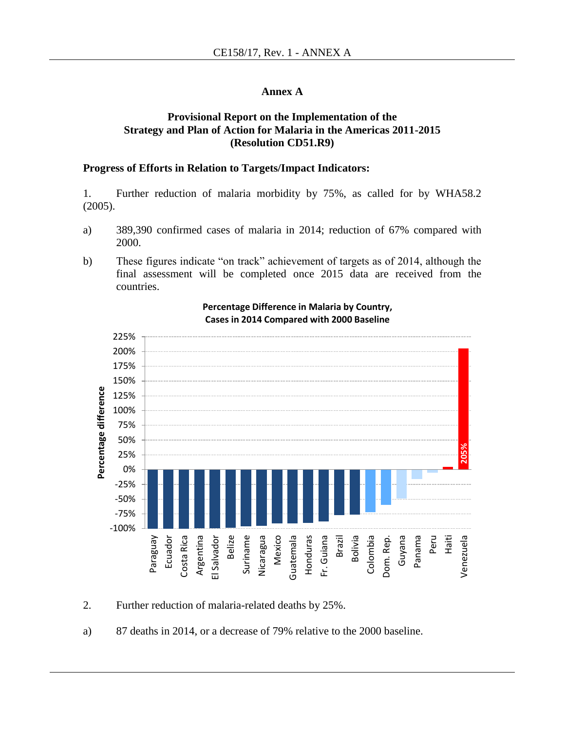#### **Annex A**

#### **Provisional Report on the Implementation of the Strategy and Plan of Action for Malaria in the Americas 2011-2015 (Resolution CD51.R9)**

#### **Progress of Efforts in Relation to Targets/Impact Indicators:**

1. Further reduction of malaria morbidity by 75%, as called for by WHA58.2 (2005).

- a) 389,390 confirmed cases of malaria in 2014; reduction of 67% compared with 2000.
- b) These figures indicate "on track" achievement of targets as of 2014, although the final assessment will be completed once 2015 data are received from the countries.



#### **Percentage Difference in Malaria by Country, Cases in 2014 Compared with 2000 Baseline**

2. Further reduction of malaria-related deaths by 25%.

a) 87 deaths in 2014, or a decrease of 79% relative to the 2000 baseline.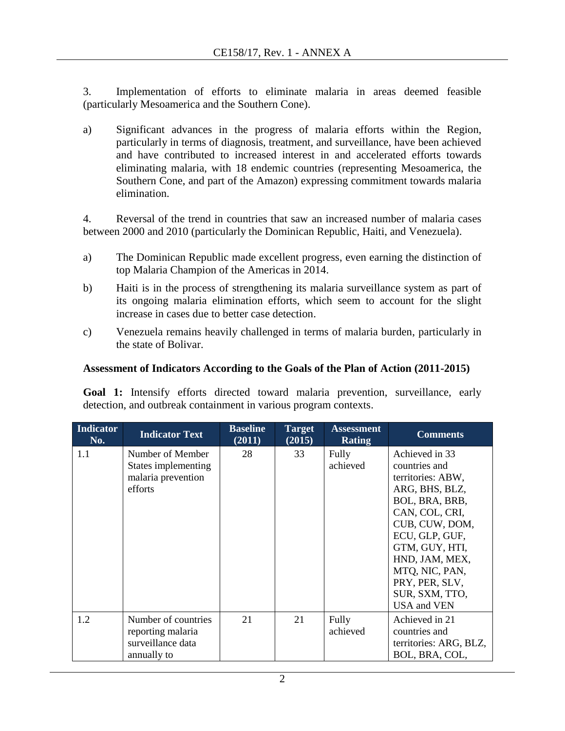3. Implementation of efforts to eliminate malaria in areas deemed feasible (particularly Mesoamerica and the Southern Cone).

a) Significant advances in the progress of malaria efforts within the Region, particularly in terms of diagnosis, treatment, and surveillance, have been achieved and have contributed to increased interest in and accelerated efforts towards eliminating malaria, with 18 endemic countries (representing Mesoamerica, the Southern Cone, and part of the Amazon) expressing commitment towards malaria elimination.

4. Reversal of the trend in countries that saw an increased number of malaria cases between 2000 and 2010 (particularly the Dominican Republic, Haiti, and Venezuela).

- a) The Dominican Republic made excellent progress, even earning the distinction of top Malaria Champion of the Americas in 2014.
- b) Haiti is in the process of strengthening its malaria surveillance system as part of its ongoing malaria elimination efforts, which seem to account for the slight increase in cases due to better case detection.
- c) Venezuela remains heavily challenged in terms of malaria burden, particularly in the state of Bolivar.

### **Assessment of Indicators According to the Goals of the Plan of Action (2011-2015)**

**Goal 1:** Intensify efforts directed toward malaria prevention, surveillance, early detection, and outbreak containment in various program contexts.

| <b>Indicator</b><br>No. | <b>Indicator Text</b>                                                        | <b>Baseline</b><br>(2011) | <b>Target</b><br>(2015) | <b>Assessment</b><br><b>Rating</b> | <b>Comments</b>                                                                                                                                                                                                                                                |
|-------------------------|------------------------------------------------------------------------------|---------------------------|-------------------------|------------------------------------|----------------------------------------------------------------------------------------------------------------------------------------------------------------------------------------------------------------------------------------------------------------|
| 1.1                     | Number of Member<br>States implementing<br>malaria prevention<br>efforts     | 28                        | 33                      | Fully<br>achieved                  | Achieved in 33<br>countries and<br>territories: ABW,<br>ARG, BHS, BLZ,<br>BOL, BRA, BRB,<br>CAN, COL, CRI,<br>CUB, CUW, DOM,<br>ECU, GLP, GUF,<br>GTM, GUY, HTI,<br>HND, JAM, MEX,<br>MTQ, NIC, PAN,<br>PRY, PER, SLV,<br>SUR, SXM, TTO,<br><b>USA</b> and VEN |
| 1.2                     | Number of countries<br>reporting malaria<br>surveillance data<br>annually to | 21                        | 21                      | Fully<br>achieved                  | Achieved in 21<br>countries and<br>territories: ARG, BLZ,<br>BOL, BRA, COL,                                                                                                                                                                                    |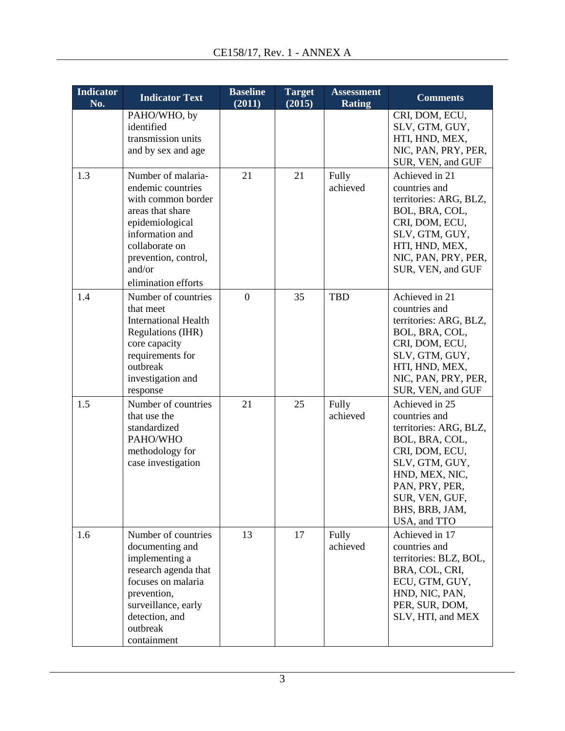| <b>Indicator</b><br>No. | <b>Indicator Text</b>                                                                                                                                                                              | <b>Baseline</b><br>(2011) | <b>Target</b><br>(2015) | <b>Assessment</b><br><b>Rating</b> | <b>Comments</b>                                                                                                                                                                                         |
|-------------------------|----------------------------------------------------------------------------------------------------------------------------------------------------------------------------------------------------|---------------------------|-------------------------|------------------------------------|---------------------------------------------------------------------------------------------------------------------------------------------------------------------------------------------------------|
|                         | PAHO/WHO, by<br>identified<br>transmission units<br>and by sex and age                                                                                                                             |                           |                         |                                    | CRI, DOM, ECU,<br>SLV, GTM, GUY,<br>HTI, HND, MEX,<br>NIC, PAN, PRY, PER,<br>SUR, VEN, and GUF                                                                                                          |
| 1.3                     | Number of malaria-<br>endemic countries<br>with common border<br>areas that share<br>epidemiological<br>information and<br>collaborate on<br>prevention, control,<br>and/or<br>elimination efforts | 21                        | 21                      | Fully<br>achieved                  | Achieved in 21<br>countries and<br>territories: ARG, BLZ,<br>BOL, BRA, COL,<br>CRI, DOM, ECU,<br>SLV, GTM, GUY,<br>HTI, HND, MEX,<br>NIC, PAN, PRY, PER,<br>SUR, VEN, and GUF                           |
| 1.4                     | Number of countries<br>that meet<br><b>International Health</b><br>Regulations (IHR)<br>core capacity<br>requirements for<br>outbreak<br>investigation and<br>response                             | $\overline{0}$            | 35                      | <b>TBD</b>                         | Achieved in 21<br>countries and<br>territories: ARG, BLZ,<br>BOL, BRA, COL,<br>CRI, DOM, ECU,<br>SLV, GTM, GUY,<br>HTI, HND, MEX,<br>NIC, PAN, PRY, PER,<br>SUR, VEN, and GUF                           |
| 1.5                     | Number of countries<br>that use the<br>standardized<br>PAHO/WHO<br>methodology for<br>case investigation                                                                                           | 21                        | 25                      | Fully<br>achieved                  | Achieved in 25<br>countries and<br>territories: ARG, BLZ,<br>BOL, BRA, COL,<br>CRI, DOM, ECU,<br>SLV, GTM, GUY,<br>HND, MEX, NIC,<br>PAN, PRY, PER,<br>SUR, VEN, GUF,<br>BHS, BRB, JAM,<br>USA, and TTO |
| 1.6                     | Number of countries<br>documenting and<br>implementing a<br>research agenda that<br>focuses on malaria<br>prevention,<br>surveillance, early<br>detection, and<br>outbreak<br>containment          | 13                        | 17                      | Fully<br>achieved                  | Achieved in 17<br>countries and<br>territories: BLZ, BOL,<br>BRA, COL, CRI,<br>ECU, GTM, GUY,<br>HND, NIC, PAN,<br>PER, SUR, DOM,<br>SLV, HTI, and MEX                                                  |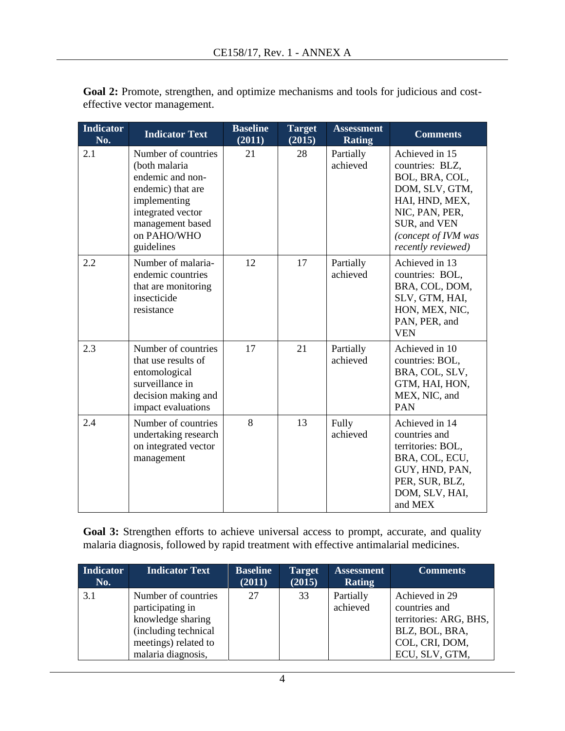| <b>Indicator</b><br>No. | <b>Indicator Text</b>                                                                                                                                               | <b>Baseline</b><br>(2011) | <b>Target</b><br>(2015) | <b>Assessment</b><br><b>Rating</b> | <b>Comments</b>                                                                                                                                                        |
|-------------------------|---------------------------------------------------------------------------------------------------------------------------------------------------------------------|---------------------------|-------------------------|------------------------------------|------------------------------------------------------------------------------------------------------------------------------------------------------------------------|
| 2.1                     | Number of countries<br>(both malaria<br>endemic and non-<br>endemic) that are<br>implementing<br>integrated vector<br>management based<br>on PAHO/WHO<br>guidelines | 21                        | 28                      | Partially<br>achieved              | Achieved in 15<br>countries: BLZ,<br>BOL, BRA, COL,<br>DOM, SLV, GTM,<br>HAI, HND, MEX,<br>NIC, PAN, PER,<br>SUR, and VEN<br>(concept of IVM was<br>recently reviewed) |
| 2.2                     | Number of malaria-<br>endemic countries<br>that are monitoring<br>insecticide<br>resistance                                                                         | 12                        | 17                      | Partially<br>achieved              | Achieved in 13<br>countries: BOL,<br>BRA, COL, DOM,<br>SLV, GTM, HAI,<br>HON, MEX, NIC,<br>PAN, PER, and<br><b>VEN</b>                                                 |
| 2.3                     | Number of countries<br>that use results of<br>entomological<br>surveillance in<br>decision making and<br>impact evaluations                                         | 17                        | 21                      | Partially<br>achieved              | Achieved in 10<br>countries: BOL,<br>BRA, COL, SLV,<br>GTM, HAI, HON,<br>MEX, NIC, and<br><b>PAN</b>                                                                   |
| 2.4                     | Number of countries<br>undertaking research<br>on integrated vector<br>management                                                                                   | 8                         | 13                      | Fully<br>achieved                  | Achieved in 14<br>countries and<br>territories: BOL,<br>BRA, COL, ECU,<br>GUY, HND, PAN,<br>PER, SUR, BLZ,<br>DOM, SLV, HAI,<br>and MEX                                |

Goal 2: Promote, strengthen, and optimize mechanisms and tools for judicious and costeffective vector management.

**Goal 3:** Strengthen efforts to achieve universal access to prompt, accurate, and quality malaria diagnosis, followed by rapid treatment with effective antimalarial medicines.

| <b>Indicator</b><br>No. | <b>Indicator Text</b>                                                                                                              | <b>Baseline</b><br>(2011) | <b>Target</b><br>(2015) | <b>Assessment</b><br><b>Rating</b> | <b>Comments</b>                                                                                                 |
|-------------------------|------------------------------------------------------------------------------------------------------------------------------------|---------------------------|-------------------------|------------------------------------|-----------------------------------------------------------------------------------------------------------------|
| 3.1                     | Number of countries<br>participating in<br>knowledge sharing<br>(including technical<br>meetings) related to<br>malaria diagnosis, | 27                        | 33                      | Partially<br>achieved              | Achieved in 29<br>countries and<br>territories: ARG, BHS,<br>BLZ, BOL, BRA,<br>COL, CRI, DOM,<br>ECU, SLV, GTM, |

4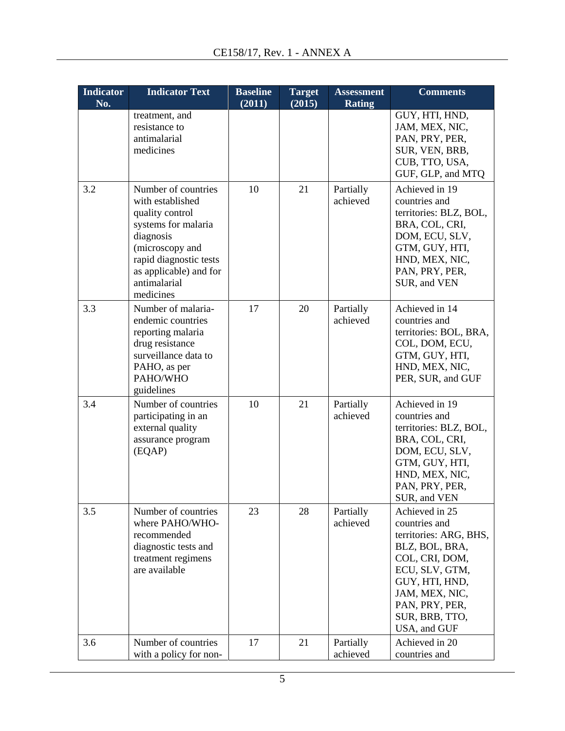| <b>Indicator</b> | <b>Indicator Text</b>                                                                                                                                                                              | <b>Baseline</b> | <b>Target</b> | <b>Assessment</b>     | <b>Comments</b>                                                                                                                                                                                         |
|------------------|----------------------------------------------------------------------------------------------------------------------------------------------------------------------------------------------------|-----------------|---------------|-----------------------|---------------------------------------------------------------------------------------------------------------------------------------------------------------------------------------------------------|
| No.              |                                                                                                                                                                                                    | (2011)          | (2015)        | <b>Rating</b>         |                                                                                                                                                                                                         |
|                  | treatment, and<br>resistance to<br>antimalarial<br>medicines                                                                                                                                       |                 |               |                       | GUY, HTI, HND,<br>JAM, MEX, NIC,<br>PAN, PRY, PER,<br>SUR, VEN, BRB,<br>CUB, TTO, USA,<br>GUF, GLP, and MTQ                                                                                             |
| 3.2              | Number of countries<br>with established<br>quality control<br>systems for malaria<br>diagnosis<br>(microscopy and<br>rapid diagnostic tests<br>as applicable) and for<br>antimalarial<br>medicines | 10              | 21            | Partially<br>achieved | Achieved in 19<br>countries and<br>territories: BLZ, BOL,<br>BRA, COL, CRI,<br>DOM, ECU, SLV,<br>GTM, GUY, HTI,<br>HND, MEX, NIC,<br>PAN, PRY, PER,<br>SUR, and VEN                                     |
| 3.3              | Number of malaria-<br>endemic countries<br>reporting malaria<br>drug resistance<br>surveillance data to<br>PAHO, as per<br>PAHO/WHO<br>guidelines                                                  | 17              | 20            | Partially<br>achieved | Achieved in 14<br>countries and<br>territories: BOL, BRA,<br>COL, DOM, ECU,<br>GTM, GUY, HTI,<br>HND, MEX, NIC,<br>PER, SUR, and GUF                                                                    |
| 3.4              | Number of countries<br>participating in an<br>external quality<br>assurance program<br>(EQAP)                                                                                                      | 10              | 21            | Partially<br>achieved | Achieved in 19<br>countries and<br>territories: BLZ, BOL,<br>BRA, COL, CRI,<br>DOM, ECU, SLV,<br>GTM, GUY, HTI,<br>HND, MEX, NIC,<br>PAN, PRY, PER,<br>SUR, and VEN                                     |
| 3.5              | Number of countries<br>where PAHO/WHO-<br>recommended<br>diagnostic tests and<br>treatment regimens<br>are available                                                                               | 23              | 28            | Partially<br>achieved | Achieved in 25<br>countries and<br>territories: ARG, BHS,<br>BLZ, BOL, BRA,<br>COL, CRI, DOM,<br>ECU, SLV, GTM,<br>GUY, HTI, HND,<br>JAM, MEX, NIC,<br>PAN, PRY, PER,<br>SUR, BRB, TTO,<br>USA, and GUF |
| 3.6              | Number of countries<br>with a policy for non-                                                                                                                                                      | 17              | 21            | Partially<br>achieved | Achieved in 20<br>countries and                                                                                                                                                                         |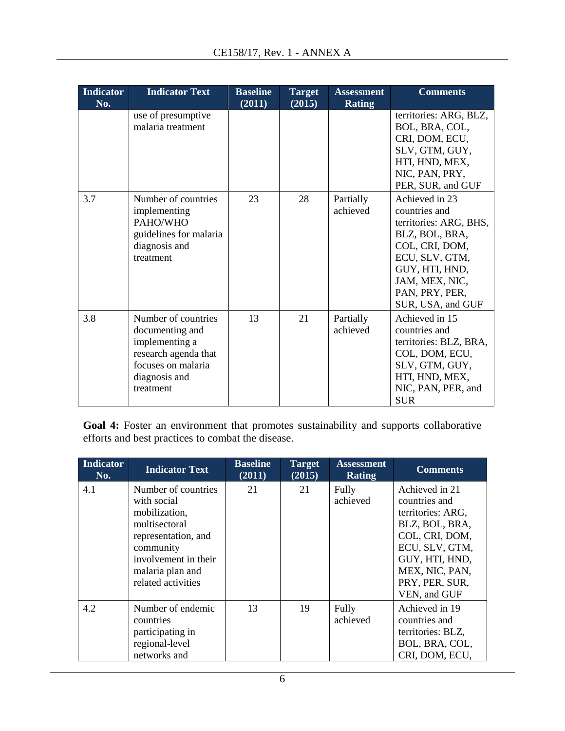| <b>Indicator</b><br>No. | <b>Indicator Text</b>                                                                                                                | <b>Baseline</b><br>(2011) | <b>Target</b><br>(2015) | <b>Assessment</b><br><b>Rating</b> | <b>Comments</b>                                                                                                                                                                            |
|-------------------------|--------------------------------------------------------------------------------------------------------------------------------------|---------------------------|-------------------------|------------------------------------|--------------------------------------------------------------------------------------------------------------------------------------------------------------------------------------------|
|                         | use of presumptive<br>malaria treatment                                                                                              |                           |                         |                                    | territories: ARG, BLZ,<br>BOL, BRA, COL,<br>CRI, DOM, ECU,<br>SLV, GTM, GUY,<br>HTI, HND, MEX,<br>NIC, PAN, PRY,<br>PER, SUR, and GUF                                                      |
| 3.7                     | Number of countries<br>implementing<br>PAHO/WHO<br>guidelines for malaria<br>diagnosis and<br>treatment                              | 23                        | 28                      | Partially<br>achieved              | Achieved in 23<br>countries and<br>territories: ARG, BHS,<br>BLZ, BOL, BRA,<br>COL, CRI, DOM,<br>ECU, SLV, GTM,<br>GUY, HTI, HND,<br>JAM, MEX, NIC,<br>PAN, PRY, PER,<br>SUR, USA, and GUF |
| 3.8                     | Number of countries<br>documenting and<br>implementing a<br>research agenda that<br>focuses on malaria<br>diagnosis and<br>treatment | 13                        | 21                      | Partially<br>achieved              | Achieved in 15<br>countries and<br>territories: BLZ, BRA,<br>COL, DOM, ECU,<br>SLV, GTM, GUY,<br>HTI, HND, MEX,<br>NIC, PAN, PER, and<br><b>SUR</b>                                        |

Goal 4: Foster an environment that promotes sustainability and supports collaborative efforts and best practices to combat the disease.

| <b>Indicator</b><br>No. | <b>Indicator Text</b>                                                                                                                                                      | <b>Baseline</b><br>(2011) | <b>Target</b><br>(2015) | <b>Assessment</b><br><b>Rating</b> | <b>Comments</b>                                                                                                                                                                  |
|-------------------------|----------------------------------------------------------------------------------------------------------------------------------------------------------------------------|---------------------------|-------------------------|------------------------------------|----------------------------------------------------------------------------------------------------------------------------------------------------------------------------------|
| 4.1                     | Number of countries<br>with social<br>mobilization,<br>multisectoral<br>representation, and<br>community<br>involvement in their<br>malaria plan and<br>related activities | 21                        | 21                      | Fully<br>achieved                  | Achieved in 21<br>countries and<br>territories: ARG,<br>BLZ, BOL, BRA,<br>COL, CRI, DOM,<br>ECU, SLV, GTM,<br>GUY, HTI, HND,<br>MEX, NIC, PAN,<br>PRY, PER, SUR,<br>VEN, and GUF |
| 4.2                     | Number of endemic<br>countries<br>participating in<br>regional-level<br>networks and                                                                                       | 13                        | 19                      | Fully<br>achieved                  | Achieved in 19<br>countries and<br>territories: BLZ,<br>BOL, BRA, COL,<br>CRI, DOM, ECU,                                                                                         |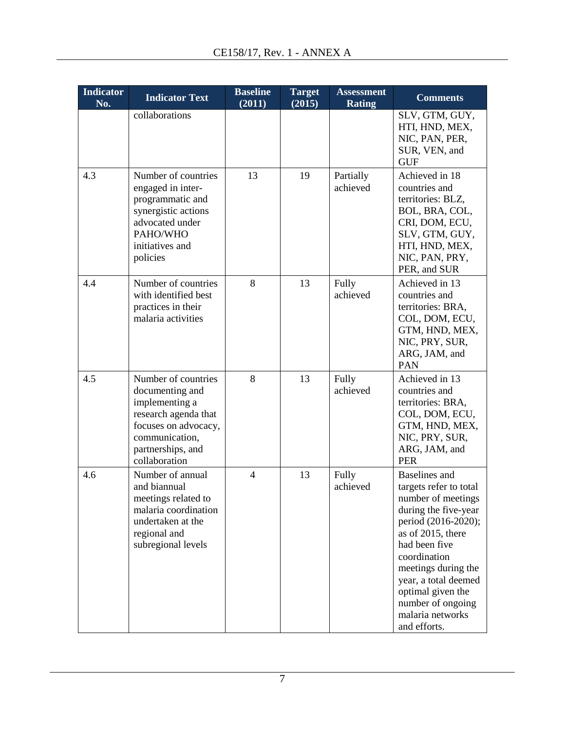| <b>Indicator</b><br>No. | <b>Indicator Text</b>                                                                                                                                            | <b>Baseline</b><br>(2011) | <b>Target</b><br>(2015) | <b>Assessment</b><br><b>Rating</b> | <b>Comments</b>                                                                                                                                                                                                                                                                                        |
|-------------------------|------------------------------------------------------------------------------------------------------------------------------------------------------------------|---------------------------|-------------------------|------------------------------------|--------------------------------------------------------------------------------------------------------------------------------------------------------------------------------------------------------------------------------------------------------------------------------------------------------|
|                         | collaborations                                                                                                                                                   |                           |                         |                                    | SLV, GTM, GUY,<br>HTI, HND, MEX,<br>NIC, PAN, PER,<br>SUR, VEN, and<br><b>GUF</b>                                                                                                                                                                                                                      |
| 4.3                     | Number of countries<br>engaged in inter-<br>programmatic and<br>synergistic actions<br>advocated under<br>PAHO/WHO<br>initiatives and<br>policies                | 13                        | 19                      | Partially<br>achieved              | Achieved in 18<br>countries and<br>territories: BLZ,<br>BOL, BRA, COL,<br>CRI, DOM, ECU,<br>SLV, GTM, GUY,<br>HTI, HND, MEX,<br>NIC, PAN, PRY,<br>PER, and SUR                                                                                                                                         |
| 4.4                     | Number of countries<br>with identified best<br>practices in their<br>malaria activities                                                                          | 8                         | 13                      | Fully<br>achieved                  | Achieved in 13<br>countries and<br>territories: BRA,<br>COL, DOM, ECU,<br>GTM, HND, MEX,<br>NIC, PRY, SUR,<br>ARG, JAM, and<br>PAN                                                                                                                                                                     |
| 4.5                     | Number of countries<br>documenting and<br>implementing a<br>research agenda that<br>focuses on advocacy,<br>communication,<br>partnerships, and<br>collaboration | 8                         | 13                      | Fully<br>achieved                  | Achieved in 13<br>countries and<br>territories: BRA,<br>COL, DOM, ECU,<br>GTM, HND, MEX,<br>NIC, PRY, SUR,<br>ARG, JAM, and<br><b>PER</b>                                                                                                                                                              |
| 4.6                     | Number of annual<br>and biannual<br>meetings related to<br>malaria coordination<br>undertaken at the<br>regional and<br>subregional levels                       | 4                         | 13                      | Fully<br>achieved                  | <b>Baselines</b> and<br>targets refer to total<br>number of meetings<br>during the five-year<br>period (2016-2020);<br>as of 2015, there<br>had been five<br>coordination<br>meetings during the<br>year, a total deemed<br>optimal given the<br>number of ongoing<br>malaria networks<br>and efforts. |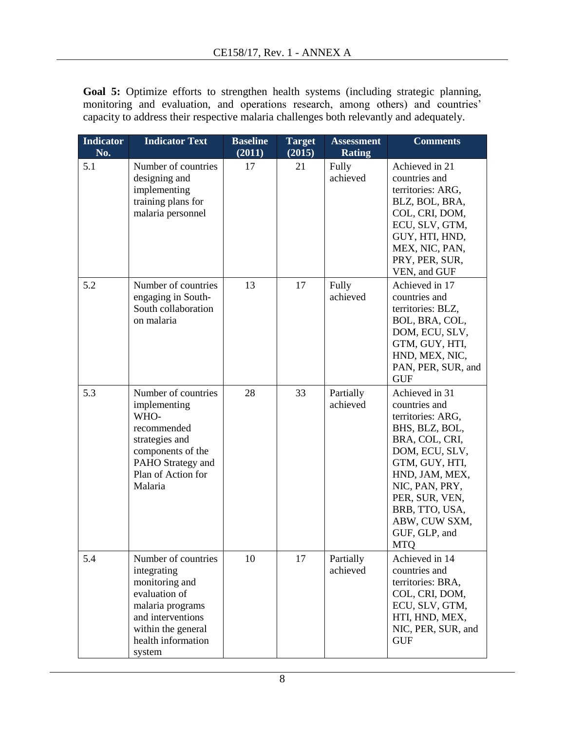Goal 5: Optimize efforts to strengthen health systems (including strategic planning, monitoring and evaluation, and operations research, among others) and countries' capacity to address their respective malaria challenges both relevantly and adequately.

| <b>Indicator</b><br>No. | <b>Indicator Text</b>                                                                                                                                                | <b>Baseline</b><br>(2011) | <b>Target</b><br>(2015) | <b>Assessment</b><br><b>Rating</b> | <b>Comments</b>                                                                                                                                                                                                                                      |
|-------------------------|----------------------------------------------------------------------------------------------------------------------------------------------------------------------|---------------------------|-------------------------|------------------------------------|------------------------------------------------------------------------------------------------------------------------------------------------------------------------------------------------------------------------------------------------------|
| 5.1                     | Number of countries<br>designing and<br>implementing<br>training plans for<br>malaria personnel                                                                      | 17                        | 21                      | Fully<br>achieved                  | Achieved in 21<br>countries and<br>territories: ARG,<br>BLZ, BOL, BRA,<br>COL, CRI, DOM,<br>ECU, SLV, GTM,<br>GUY, HTI, HND,<br>MEX, NIC, PAN,<br>PRY, PER, SUR,<br>VEN, and GUF                                                                     |
| 5.2                     | Number of countries<br>engaging in South-<br>South collaboration<br>on malaria                                                                                       | 13                        | 17                      | Fully<br>achieved                  | Achieved in 17<br>countries and<br>territories: BLZ,<br>BOL, BRA, COL,<br>DOM, ECU, SLV,<br>GTM, GUY, HTI,<br>HND, MEX, NIC,<br>PAN, PER, SUR, and<br><b>GUF</b>                                                                                     |
| 5.3                     | Number of countries<br>implementing<br>WHO-<br>recommended<br>strategies and<br>components of the<br>PAHO Strategy and<br>Plan of Action for<br>Malaria              | 28                        | 33                      | Partially<br>achieved              | Achieved in 31<br>countries and<br>territories: ARG,<br>BHS, BLZ, BOL,<br>BRA, COL, CRI,<br>DOM, ECU, SLV,<br>GTM, GUY, HTI,<br>HND, JAM, MEX,<br>NIC, PAN, PRY,<br>PER, SUR, VEN,<br>BRB, TTO, USA,<br>ABW, CUW SXM,<br>GUF, GLP, and<br><b>MTQ</b> |
| 5.4                     | Number of countries<br>integrating<br>monitoring and<br>evaluation of<br>malaria programs<br>and interventions<br>within the general<br>health information<br>system | 10                        | 17                      | Partially<br>achieved              | Achieved in 14<br>countries and<br>territories: BRA,<br>COL, CRI, DOM,<br>ECU, SLV, GTM,<br>HTI, HND, MEX,<br>NIC, PER, SUR, and<br><b>GUF</b>                                                                                                       |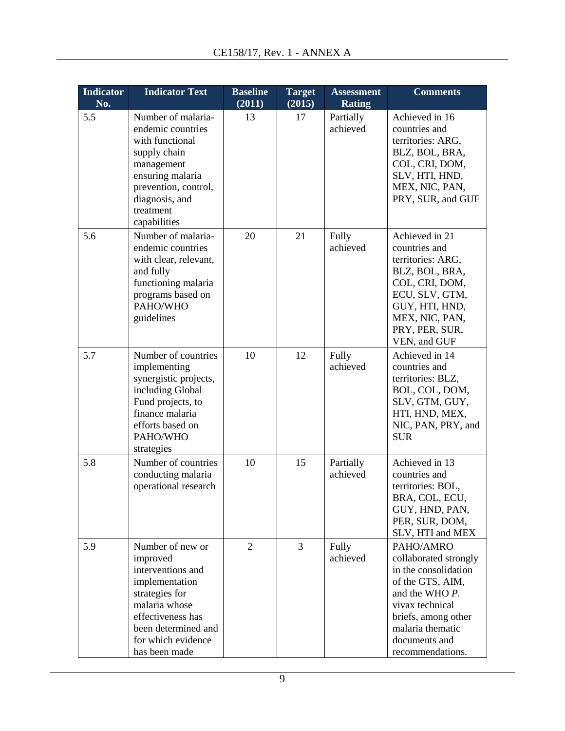| <b>Indicator</b><br>No. | <b>Indicator Text</b>                                                                                                                                                                     | <b>Baseline</b><br>(2011) | <b>Target</b><br>(2015) | <b>Assessment</b><br><b>Rating</b> | <b>Comments</b>                                                                                                                                                                                     |
|-------------------------|-------------------------------------------------------------------------------------------------------------------------------------------------------------------------------------------|---------------------------|-------------------------|------------------------------------|-----------------------------------------------------------------------------------------------------------------------------------------------------------------------------------------------------|
| 5.5                     | Number of malaria-<br>endemic countries<br>with functional<br>supply chain<br>management<br>ensuring malaria<br>prevention, control,<br>diagnosis, and<br>treatment<br>capabilities       | 13                        | 17                      | Partially<br>achieved              | Achieved in 16<br>countries and<br>territories: ARG,<br>BLZ, BOL, BRA,<br>COL, CRI, DOM,<br>SLV, HTI, HND,<br>MEX, NIC, PAN,<br>PRY, SUR, and GUF                                                   |
| 5.6                     | Number of malaria-<br>endemic countries<br>with clear, relevant,<br>and fully<br>functioning malaria<br>programs based on<br>PAHO/WHO<br>guidelines                                       | 20                        | 21                      | Fully<br>achieved                  | Achieved in 21<br>countries and<br>territories: ARG,<br>BLZ, BOL, BRA,<br>COL, CRI, DOM,<br>ECU, SLV, GTM,<br>GUY, HTI, HND,<br>MEX, NIC, PAN,<br>PRY, PER, SUR,<br>VEN, and GUF                    |
| 5.7                     | Number of countries<br>implementing<br>synergistic projects,<br>including Global<br>Fund projects, to<br>finance malaria<br>efforts based on<br>PAHO/WHO<br>strategies                    | 10                        | 12                      | Fully<br>achieved                  | Achieved in 14<br>countries and<br>territories: BLZ,<br>BOL, COL, DOM,<br>SLV, GTM, GUY,<br>HTI, HND, MEX,<br>NIC, PAN, PRY, and<br><b>SUR</b>                                                      |
| 5.8                     | Number of countries<br>conducting malaria<br>operational research                                                                                                                         | 10                        | 15                      | Partially<br>achieved              | Achieved in 13<br>countries and<br>territories: BOL,<br>BRA, COL, ECU,<br>GUY, HND, PAN,<br>PER, SUR, DOM,<br>SLV, HTI and MEX                                                                      |
| 5.9                     | Number of new or<br>improved<br>interventions and<br>implementation<br>strategies for<br>malaria whose<br>effectiveness has<br>been determined and<br>for which evidence<br>has been made | $\overline{2}$            | 3                       | Fully<br>achieved                  | PAHO/AMRO<br>collaborated strongly<br>in the consolidation<br>of the GTS, AIM,<br>and the WHO P.<br>vivax technical<br>briefs, among other<br>malaria thematic<br>documents and<br>recommendations. |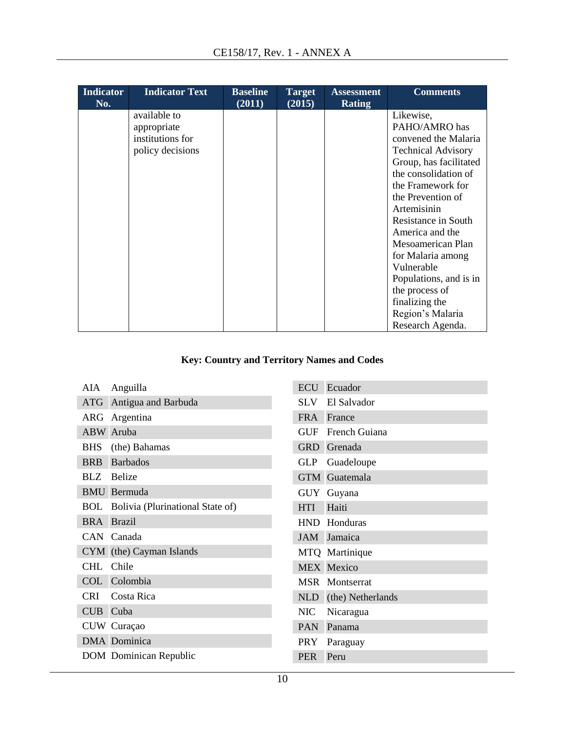| <b>Indicator</b><br>No. | <b>Indicator Text</b> | <b>Baseline</b><br>(2011) | <b>Target</b><br>(2015) | <b>Assessment</b><br><b>Rating</b> | <b>Comments</b>           |
|-------------------------|-----------------------|---------------------------|-------------------------|------------------------------------|---------------------------|
|                         | available to          |                           |                         |                                    | Likewise,                 |
|                         | appropriate           |                           |                         |                                    | PAHO/AMRO has             |
|                         | institutions for      |                           |                         |                                    | convened the Malaria      |
|                         | policy decisions      |                           |                         |                                    | <b>Technical Advisory</b> |
|                         |                       |                           |                         |                                    | Group, has facilitated    |
|                         |                       |                           |                         |                                    | the consolidation of      |
|                         |                       |                           |                         |                                    | the Framework for         |
|                         |                       |                           |                         |                                    | the Prevention of         |
|                         |                       |                           |                         |                                    | Artemisinin               |
|                         |                       |                           |                         |                                    | Resistance in South       |
|                         |                       |                           |                         |                                    | America and the           |
|                         |                       |                           |                         |                                    | Mesoamerican Plan         |
|                         |                       |                           |                         |                                    | for Malaria among         |
|                         |                       |                           |                         |                                    | Vulnerable                |
|                         |                       |                           |                         |                                    | Populations, and is in    |
|                         |                       |                           |                         |                                    | the process of            |
|                         |                       |                           |                         |                                    | finalizing the            |
|                         |                       |                           |                         |                                    | Region's Malaria          |
|                         |                       |                           |                         |                                    | Research Agenda.          |

# **Key: Country and Territory Names and Codes**

| ATG Antigua and Barbuda<br>ARG Argentina<br><b>ABW</b> Aruba<br>BHS (the) Bahamas<br><b>BRB</b><br><b>Barbados</b><br><b>BLZ</b> Belize<br><b>BMU</b> Bermuda<br><b>BOL</b> Bolivia (Plurinational State of)<br><b>BRA</b> Brazil<br>CAN Canada<br>CYM (the) Cayman Islands<br>CHL<br>Chile<br>COL Colombia<br>CRI<br>Costa Rica<br>CUB<br>Cuba<br>CUW Curaçao<br><b>DMA</b> Dominica<br><b>DOM</b> Dominican Republic | AIA | Anguilla |
|------------------------------------------------------------------------------------------------------------------------------------------------------------------------------------------------------------------------------------------------------------------------------------------------------------------------------------------------------------------------------------------------------------------------|-----|----------|
|                                                                                                                                                                                                                                                                                                                                                                                                                        |     |          |
|                                                                                                                                                                                                                                                                                                                                                                                                                        |     |          |
|                                                                                                                                                                                                                                                                                                                                                                                                                        |     |          |
|                                                                                                                                                                                                                                                                                                                                                                                                                        |     |          |
|                                                                                                                                                                                                                                                                                                                                                                                                                        |     |          |
|                                                                                                                                                                                                                                                                                                                                                                                                                        |     |          |
|                                                                                                                                                                                                                                                                                                                                                                                                                        |     |          |
|                                                                                                                                                                                                                                                                                                                                                                                                                        |     |          |
|                                                                                                                                                                                                                                                                                                                                                                                                                        |     |          |
|                                                                                                                                                                                                                                                                                                                                                                                                                        |     |          |
|                                                                                                                                                                                                                                                                                                                                                                                                                        |     |          |
|                                                                                                                                                                                                                                                                                                                                                                                                                        |     |          |
|                                                                                                                                                                                                                                                                                                                                                                                                                        |     |          |
|                                                                                                                                                                                                                                                                                                                                                                                                                        |     |          |
|                                                                                                                                                                                                                                                                                                                                                                                                                        |     |          |
|                                                                                                                                                                                                                                                                                                                                                                                                                        |     |          |
|                                                                                                                                                                                                                                                                                                                                                                                                                        |     |          |
|                                                                                                                                                                                                                                                                                                                                                                                                                        |     |          |

| ECU             | Ecuador           |  |  |
|-----------------|-------------------|--|--|
| SLV <sub></sub> | El Salvador       |  |  |
| <b>FRA</b>      | France            |  |  |
| GUF             | French Guiana     |  |  |
|                 | GRD Grenada       |  |  |
| <b>GLP</b>      | Guadeloupe        |  |  |
| <b>GTM</b>      | Guatemala         |  |  |
| <b>GUY</b>      | Guyana            |  |  |
| <b>HTI</b>      | Haiti             |  |  |
| <b>HND</b>      | Honduras          |  |  |
| <b>JAM</b>      | Jamaica           |  |  |
|                 | MTQ Martinique    |  |  |
|                 | <b>MEX Mexico</b> |  |  |
| <b>MSR</b>      | Montserrat        |  |  |
| NLD             | (the) Netherlands |  |  |
| <b>NIC</b>      | Nicaragua         |  |  |
| <b>PAN</b>      | Panama            |  |  |
| <b>PRY</b>      | Paraguay          |  |  |
| <b>PER</b>      | Peru              |  |  |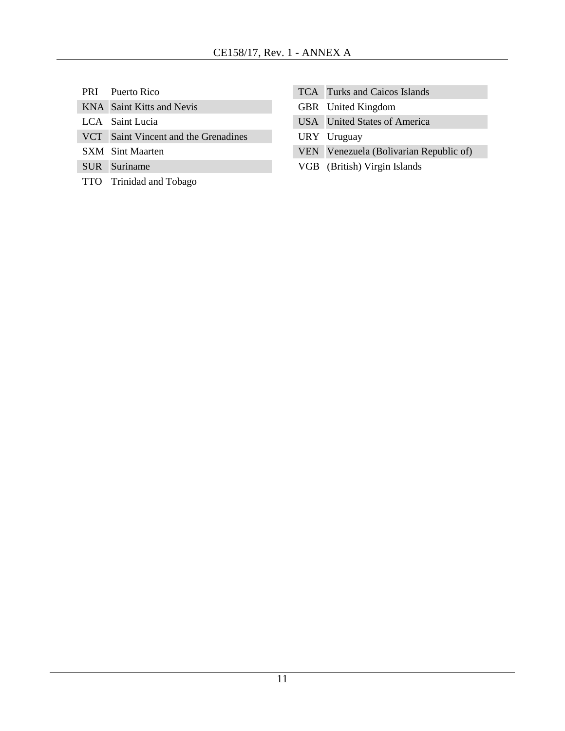PRI Puerto Rico

KNA Saint Kitts and Nevis

- LCA Saint Lucia
- VCT Saint Vincent and the Grenadines
- SXM Sint Maarten
- SUR Suriname
- TTO Trinidad and Tobago
- TCA Turks and Caicos Islands
- GBR United Kingdom
- USA United States of America
- URY Uruguay
- VEN Venezuela (Bolivarian Republic of)
- VGB (British) Virgin Islands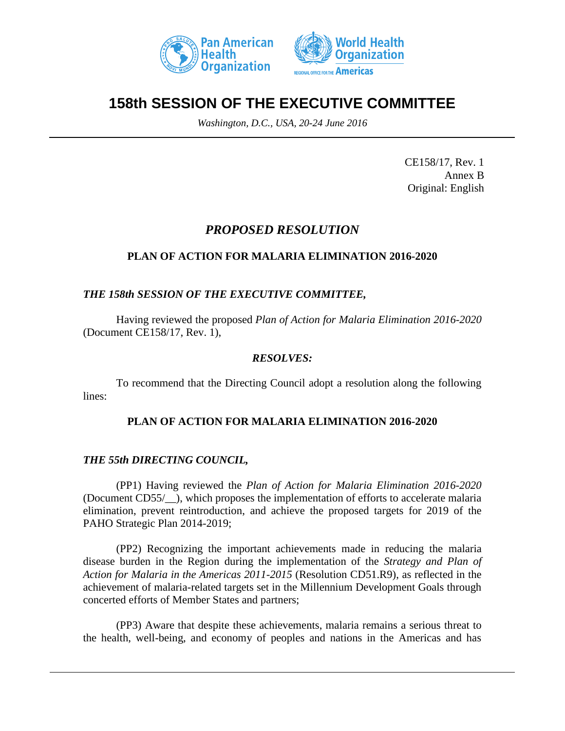



# **158th SESSION OF THE EXECUTIVE COMMITTEE**

*Washington, D.C., USA, 20-24 June 2016*

CE158/17, Rev. 1 Annex B Original: English

# *PROPOSED RESOLUTION*

# **PLAN OF ACTION FOR MALARIA ELIMINATION 2016-2020**

## *THE 158th SESSION OF THE EXECUTIVE COMMITTEE,*

Having reviewed the proposed *Plan of Action for Malaria Elimination 2016-2020*  (Document CE158/17, Rev. 1),

### *RESOLVES:*

To recommend that the Directing Council adopt a resolution along the following lines:

### **PLAN OF ACTION FOR MALARIA ELIMINATION 2016-2020**

### *THE 55th DIRECTING COUNCIL,*

(PP1) Having reviewed the *Plan of Action for Malaria Elimination 2016-2020*  (Document CD55/\_\_), which proposes the implementation of efforts to accelerate malaria elimination, prevent reintroduction, and achieve the proposed targets for 2019 of the PAHO Strategic Plan 2014-2019;

(PP2) Recognizing the important achievements made in reducing the malaria disease burden in the Region during the implementation of the *Strategy and Plan of Action for Malaria in the Americas 2011-2015* (Resolution CD51.R9), as reflected in the achievement of malaria-related targets set in the Millennium Development Goals through concerted efforts of Member States and partners;

(PP3) Aware that despite these achievements, malaria remains a serious threat to the health, well-being, and economy of peoples and nations in the Americas and has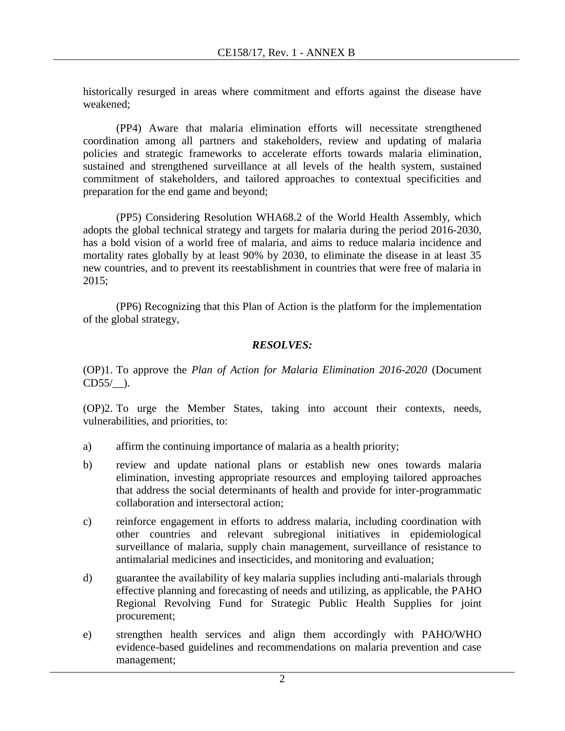historically resurged in areas where commitment and efforts against the disease have weakened;

(PP4) Aware that malaria elimination efforts will necessitate strengthened coordination among all partners and stakeholders, review and updating of malaria policies and strategic frameworks to accelerate efforts towards malaria elimination, sustained and strengthened surveillance at all levels of the health system, sustained commitment of stakeholders, and tailored approaches to contextual specificities and preparation for the end game and beyond;

(PP5) Considering Resolution WHA68.2 of the World Health Assembly, which adopts the global technical strategy and targets for malaria during the period 2016-2030, has a bold vision of a world free of malaria, and aims to reduce malaria incidence and mortality rates globally by at least 90% by 2030, to eliminate the disease in at least 35 new countries, and to prevent its reestablishment in countries that were free of malaria in 2015;

(PP6) Recognizing that this Plan of Action is the platform for the implementation of the global strategy,

## *RESOLVES:*

(OP)1. To approve the *Plan of Action for Malaria Elimination 2016-2020* (Document  $CD55/$  ).

(OP)2. To urge the Member States, taking into account their contexts, needs, vulnerabilities, and priorities, to:

- a) affirm the continuing importance of malaria as a health priority;
- b) review and update national plans or establish new ones towards malaria elimination, investing appropriate resources and employing tailored approaches that address the social determinants of health and provide for inter-programmatic collaboration and intersectoral action;
- c) reinforce engagement in efforts to address malaria, including coordination with other countries and relevant subregional initiatives in epidemiological surveillance of malaria, supply chain management, surveillance of resistance to antimalarial medicines and insecticides, and monitoring and evaluation;
- d) guarantee the availability of key malaria supplies including anti-malarials through effective planning and forecasting of needs and utilizing, as applicable, the PAHO Regional Revolving Fund for Strategic Public Health Supplies for joint procurement;
- e) strengthen health services and align them accordingly with PAHO/WHO evidence-based guidelines and recommendations on malaria prevention and case management;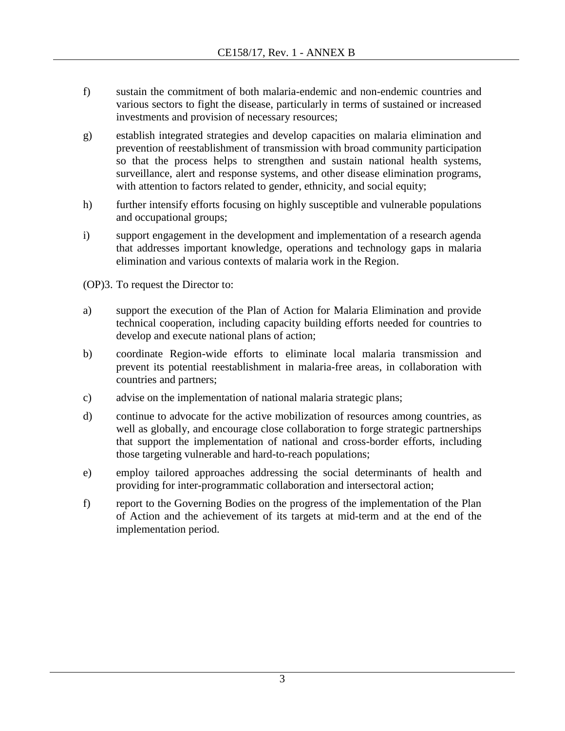- f) sustain the commitment of both malaria-endemic and non-endemic countries and various sectors to fight the disease, particularly in terms of sustained or increased investments and provision of necessary resources;
- g) establish integrated strategies and develop capacities on malaria elimination and prevention of reestablishment of transmission with broad community participation so that the process helps to strengthen and sustain national health systems, surveillance, alert and response systems, and other disease elimination programs, with attention to factors related to gender, ethnicity, and social equity;
- h) further intensify efforts focusing on highly susceptible and vulnerable populations and occupational groups;
- i) support engagement in the development and implementation of a research agenda that addresses important knowledge, operations and technology gaps in malaria elimination and various contexts of malaria work in the Region.
- (OP)3. To request the Director to:
- a) support the execution of the Plan of Action for Malaria Elimination and provide technical cooperation, including capacity building efforts needed for countries to develop and execute national plans of action;
- b) coordinate Region-wide efforts to eliminate local malaria transmission and prevent its potential reestablishment in malaria-free areas, in collaboration with countries and partners;
- c) advise on the implementation of national malaria strategic plans;
- d) continue to advocate for the active mobilization of resources among countries, as well as globally, and encourage close collaboration to forge strategic partnerships that support the implementation of national and cross-border efforts, including those targeting vulnerable and hard-to-reach populations;
- e) employ tailored approaches addressing the social determinants of health and providing for inter-programmatic collaboration and intersectoral action;
- f) report to the Governing Bodies on the progress of the implementation of the Plan of Action and the achievement of its targets at mid-term and at the end of the implementation period.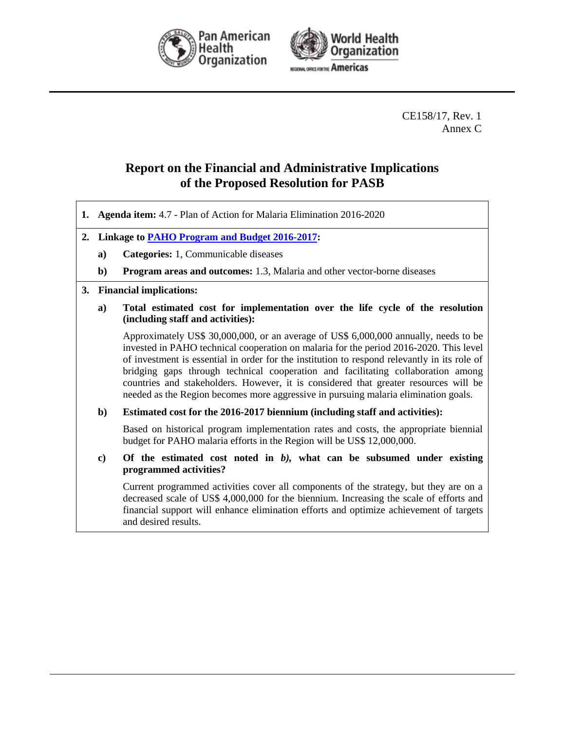



CE158/17, Rev. 1 Annex C

# **Report on the Financial and Administrative Implications of the Proposed Resolution for PASB**

- **1. Agenda item:** 4.7 Plan of Action for Malaria Elimination 2016-2020
- **2. Linkage t[o PAHO Program and Budget 2016-2017:](http://www.paho.org/hq/index.php?option=com_docman&task=doc_download&gid=31676&Itemid=270&lang=en)**
	- **a) Categories:** 1, Communicable diseases
	- **b) Program areas and outcomes:** 1.3, Malaria and other vector-borne diseases

#### **3. Financial implications:**

**a) Total estimated cost for implementation over the life cycle of the resolution (including staff and activities):**

Approximately US\$ 30,000,000, or an average of US\$ 6,000,000 annually, needs to be invested in PAHO technical cooperation on malaria for the period 2016-2020. This level of investment is essential in order for the institution to respond relevantly in its role of bridging gaps through technical cooperation and facilitating collaboration among countries and stakeholders. However, it is considered that greater resources will be needed as the Region becomes more aggressive in pursuing malaria elimination goals.

#### **b) Estimated cost for the 2016-2017 biennium (including staff and activities):**

Based on historical program implementation rates and costs, the appropriate biennial budget for PAHO malaria efforts in the Region will be US\$ 12,000,000.

**c) Of the estimated cost noted in** *b),* **what can be subsumed under existing programmed activities?**

Current programmed activities cover all components of the strategy, but they are on a decreased scale of US\$ 4,000,000 for the biennium. Increasing the scale of efforts and financial support will enhance elimination efforts and optimize achievement of targets and desired results.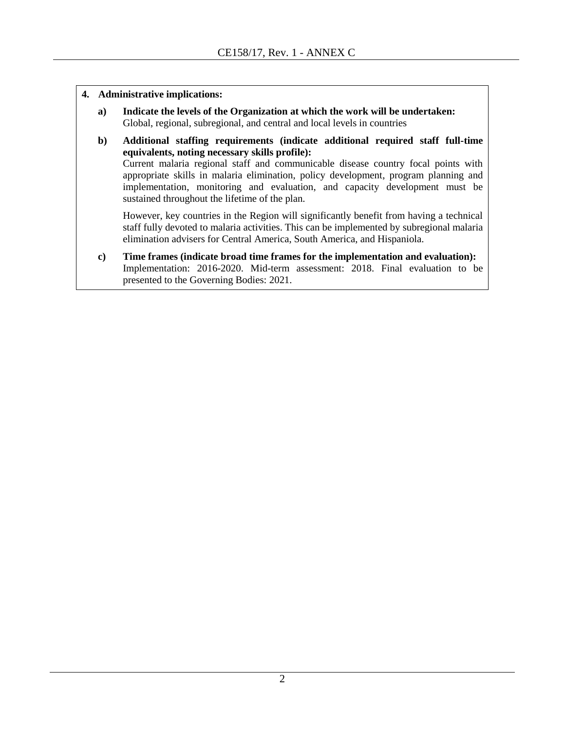- **4. Administrative implications:**
	- **a) Indicate the levels of the Organization at which the work will be undertaken:** Global, regional, subregional, and central and local levels in countries
	- **b) Additional staffing requirements (indicate additional required staff full-time equivalents, noting necessary skills profile):** Current malaria regional staff and communicable disease country focal points with appropriate skills in malaria elimination, policy development, program planning and implementation, monitoring and evaluation, and capacity development must be sustained throughout the lifetime of the plan.

However, key countries in the Region will significantly benefit from having a technical staff fully devoted to malaria activities. This can be implemented by subregional malaria elimination advisers for Central America, South America, and Hispaniola.

**c) Time frames (indicate broad time frames for the implementation and evaluation):** Implementation: 2016-2020. Mid-term assessment: 2018. Final evaluation to be presented to the Governing Bodies: 2021.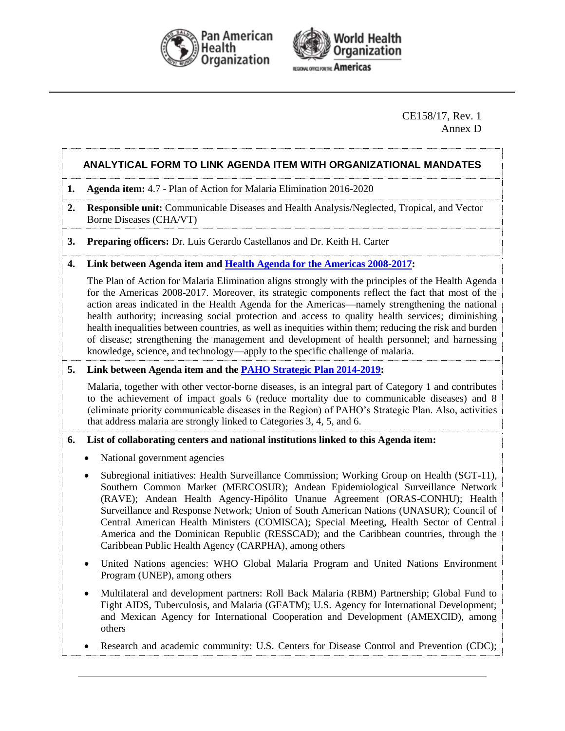



#### CE158/17, Rev. 1 Annex D

### **ANALYTICAL FORM TO LINK AGENDA ITEM WITH ORGANIZATIONAL MANDATES**

- **1. Agenda item:** 4.7 Plan of Action for Malaria Elimination 2016-2020
- **2. Responsible unit:** Communicable Diseases and Health Analysis/Neglected, Tropical, and Vector Borne Diseases (CHA/VT)
- **3. Preparing officers:** Dr. Luis Gerardo Castellanos and Dr. Keith H. Carter

#### **4. Link between Agenda item and [Health Agenda for the Americas 2008-2017:](http://www.paho.org/hq/index.php?option=com_docman&task=doc_download&gid=3546&Itemid=)**

The Plan of Action for Malaria Elimination aligns strongly with the principles of the Health Agenda for the Americas 2008-2017. Moreover, its strategic components reflect the fact that most of the action areas indicated in the Health Agenda for the Americas—namely strengthening the national health authority; increasing social protection and access to quality health services; diminishing health inequalities between countries, as well as inequities within them; reducing the risk and burden of disease; strengthening the management and development of health personnel; and harnessing knowledge, science, and technology—apply to the specific challenge of malaria.

#### **5. Link between Agenda item and the [PAHO Strategic Plan 2014-2019:](http://www.paho.org/hq/index.php?option=com_docman&task=doc_download&gid=27015&Itemid=270&lang=en)**

Malaria, together with other vector-borne diseases, is an integral part of Category 1 and contributes to the achievement of impact goals 6 (reduce mortality due to communicable diseases) and 8 (eliminate priority communicable diseases in the Region) of PAHO's Strategic Plan. Also, activities that address malaria are strongly linked to Categories 3, 4, 5, and 6.

#### **6. List of collaborating centers and national institutions linked to this Agenda item:**

- National government agencies
- Subregional initiatives: Health Surveillance Commission; Working Group on Health (SGT-11), Southern Common Market (MERCOSUR); Andean Epidemiological Surveillance Network (RAVE); Andean Health Agency-Hipólito Unanue Agreement (ORAS-CONHU); Health Surveillance and Response Network; Union of South American Nations (UNASUR); Council of Central American Health Ministers (COMISCA); Special Meeting, Health Sector of Central America and the Dominican Republic (RESSCAD); and the Caribbean countries, through the Caribbean Public Health Agency (CARPHA), among others
- United Nations agencies: WHO Global Malaria Program and United Nations Environment Program (UNEP), among others
- Multilateral and development partners: Roll Back Malaria (RBM) Partnership; Global Fund to Fight AIDS, Tuberculosis, and Malaria (GFATM); U.S. Agency for International Development; and Mexican Agency for International Cooperation and Development (AMEXCID), among others
- Research and academic community: U.S. Centers for Disease Control and Prevention (CDC);